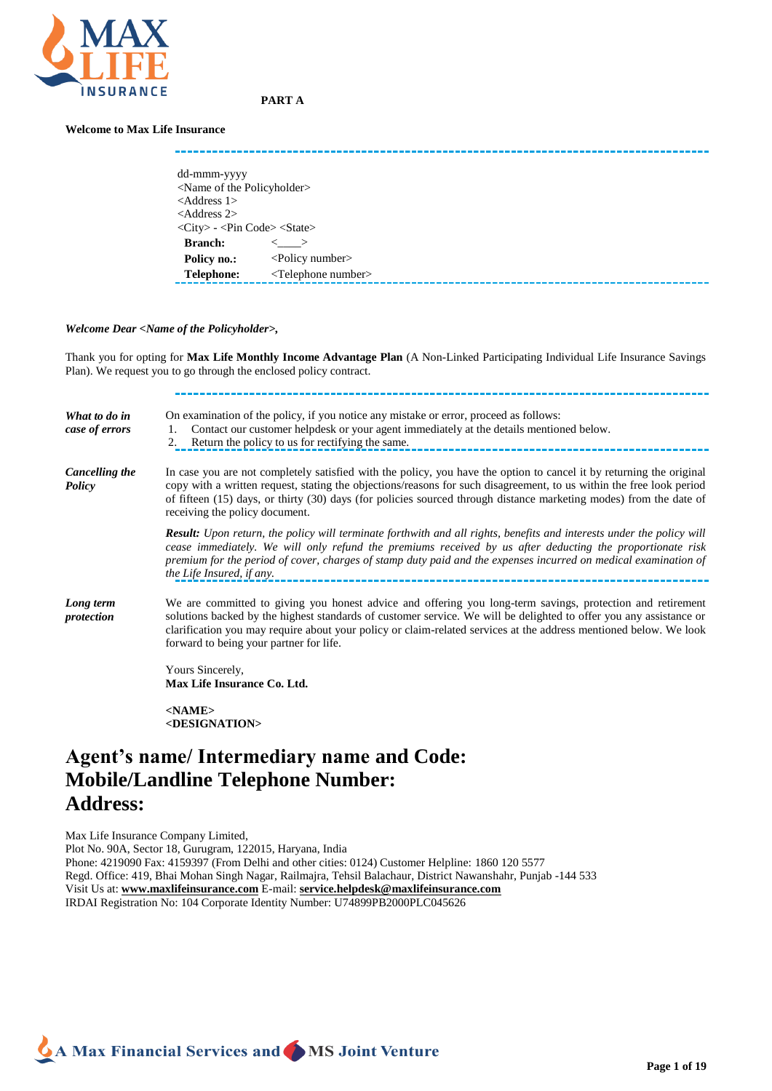

# **PART A**

# **Welcome to Max Life Insurance**

| dd-mmm-yyyy                                                                 |                                   |
|-----------------------------------------------------------------------------|-----------------------------------|
| <name of="" policyholder="" the=""></name>                                  |                                   |
| $<$ Address 1>                                                              |                                   |
| $<$ Address 2>                                                              |                                   |
| $\langle City \rangle$ - $\langle Pin Code \rangle$ $\langle State \rangle$ |                                   |
| <b>Branch:</b>                                                              |                                   |
|                                                                             | $\lt$ >                           |
| Policy no.:                                                                 | $\leq$ Policy number $>$          |
| <b>Telephone:</b>                                                           | <telephone number=""></telephone> |
|                                                                             |                                   |

### *Welcome Dear <Name of the Policyholder>,*

Thank you for opting for **Max Life Monthly Income Advantage Plan** (A Non-Linked Participating Individual Life Insurance Savings Plan). We request you to go through the enclosed policy contract.

| What to do in<br>case of errors | On examination of the policy, if you notice any mistake or error, proceed as follows:<br>Contact our customer helpdesk or your agent immediately at the details mentioned below.<br>1.<br>Return the policy to us for rectifying the same.<br>2.                                                                                                                                                     |
|---------------------------------|------------------------------------------------------------------------------------------------------------------------------------------------------------------------------------------------------------------------------------------------------------------------------------------------------------------------------------------------------------------------------------------------------|
| Cancelling the<br><b>Policy</b> | In case you are not completely satisfied with the policy, you have the option to cancel it by returning the original<br>copy with a written request, stating the objections/reasons for such disagreement, to us within the free look period<br>of fifteen (15) days, or thirty (30) days (for policies sourced through distance marketing modes) from the date of<br>receiving the policy document. |
|                                 | <b>Result:</b> Upon return, the policy will terminate forthwith and all rights, benefits and interests under the policy will<br>cease immediately. We will only refund the premiums received by us after deducting the proportionate risk<br>premium for the period of cover, charges of stamp duty paid and the expenses incurred on medical examination of<br>the Life Insured, if any.            |
| Long term<br>protection         | We are committed to giving you honest advice and offering you long-term savings, protection and retirement<br>solutions backed by the highest standards of customer service. We will be delighted to offer you any assistance or<br>clarification you may require about your policy or claim-related services at the address mentioned below. We look<br>forward to being your partner for life.     |
|                                 | Yours Sincerely,<br>Max Life Insurance Co. Ltd.                                                                                                                                                                                                                                                                                                                                                      |
|                                 | $<$ NAME $>$<br><designation></designation>                                                                                                                                                                                                                                                                                                                                                          |

# **Agent's name/ Intermediary name and Code: Mobile/Landline Telephone Number: Address:**

Max Life Insurance Company Limited, Plot No. 90A, Sector 18, Gurugram, 122015, Haryana, India Phone: 4219090 Fax: 4159397 (From Delhi and other cities: 0124) Customer Helpline: 1860 120 5577 Regd. Office: 419, Bhai Mohan Singh Nagar, Railmajra, Tehsil Balachaur, District Nawanshahr, Punjab -144 533 Visit Us at: **[www.maxlifeinsurance.com](file:///C:/Users/lshom3691/AppData/Local/Users/rshom2699/AppData/Local/Temp/notes758E9C/www.maxlifeinsurance.com)** E-mail: **[service.helpdesk@maxlifeinsurance.com](mailto:mservice.helpdesk@maxlifeinsurance.com)** IRDAI Registration No: 104 Corporate Identity Number: U74899PB2000PLC045626

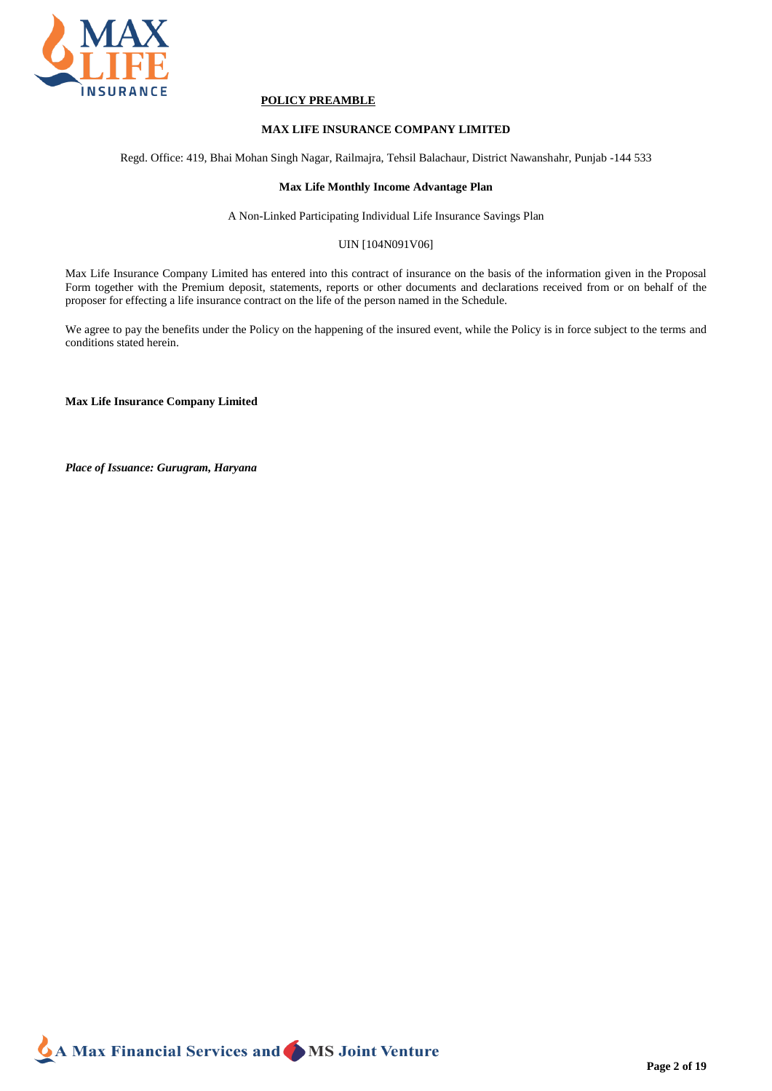

# **POLICY PREAMBLE**

# **MAX LIFE INSURANCE COMPANY LIMITED**

Regd. Office: 419, Bhai Mohan Singh Nagar, Railmajra, Tehsil Balachaur, District Nawanshahr, Punjab -144 533

# **Max Life Monthly Income Advantage Plan**

A Non-Linked Participating Individual Life Insurance Savings Plan

# UIN [104N091V06]

Max Life Insurance Company Limited has entered into this contract of insurance on the basis of the information given in the Proposal Form together with the Premium deposit, statements, reports or other documents and declarations received from or on behalf of the proposer for effecting a life insurance contract on the life of the person named in the Schedule.

We agree to pay the benefits under the Policy on the happening of the insured event, while the Policy is in force subject to the terms and conditions stated herein.

**Max Life Insurance Company Limited**

*Place of Issuance: Gurugram, Haryana*

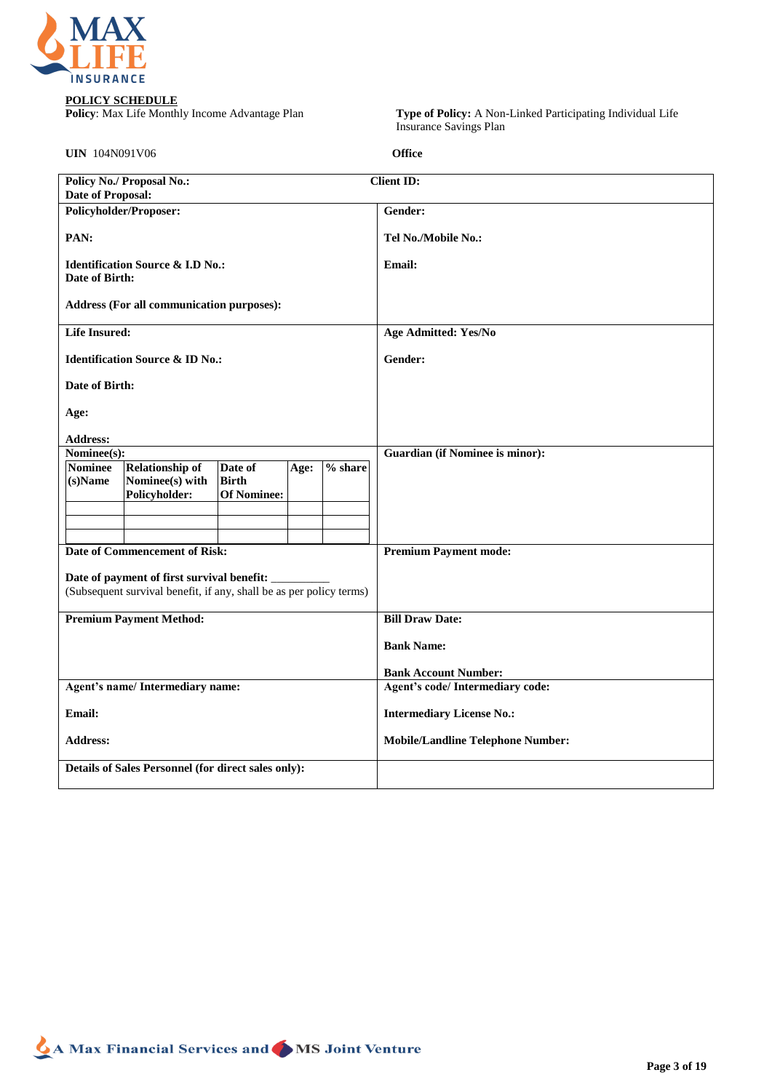

**POLICY SCHEDULE**<br>**Policy**: Max Life Monthly Income Advantage Plan

**Policy**: Max Life Monthly Income Advantage Plan **Type of Policy:** A Non-Linked Participating Individual Life Insurance Savings Plan

**UIN** 104N091V06 **Office**

| Office |  |  |
|--------|--|--|

| <b>Policy No./ Proposal No.:</b>                                                                                     | <b>Client ID:</b>                                               |  |  |  |  |
|----------------------------------------------------------------------------------------------------------------------|-----------------------------------------------------------------|--|--|--|--|
| <b>Date of Proposal:</b>                                                                                             |                                                                 |  |  |  |  |
| <b>Policyholder/Proposer:</b>                                                                                        | Gender:                                                         |  |  |  |  |
| PAN:                                                                                                                 | Tel No./Mobile No.:                                             |  |  |  |  |
| <b>Identification Source &amp; I.D No.:</b><br>Date of Birth:                                                        | <b>Email:</b>                                                   |  |  |  |  |
| Address (For all communication purposes):                                                                            |                                                                 |  |  |  |  |
| <b>Life Insured:</b>                                                                                                 | <b>Age Admitted: Yes/No</b>                                     |  |  |  |  |
| <b>Identification Source &amp; ID No.:</b>                                                                           | Gender:                                                         |  |  |  |  |
| Date of Birth:                                                                                                       |                                                                 |  |  |  |  |
| Age:                                                                                                                 |                                                                 |  |  |  |  |
| <b>Address:</b>                                                                                                      |                                                                 |  |  |  |  |
| Nominee(s):                                                                                                          | <b>Guardian (if Nominee is minor):</b>                          |  |  |  |  |
| % share<br><b>Nominee</b><br><b>Relationship of</b><br>Date of<br>Age:<br>Nominee(s) with<br>(s)Name<br><b>Birth</b> |                                                                 |  |  |  |  |
| <b>Of Nominee:</b><br>Policyholder:                                                                                  |                                                                 |  |  |  |  |
|                                                                                                                      |                                                                 |  |  |  |  |
| <b>Date of Commencement of Risk:</b>                                                                                 | <b>Premium Payment mode:</b>                                    |  |  |  |  |
|                                                                                                                      |                                                                 |  |  |  |  |
| Date of payment of first survival benefit:                                                                           |                                                                 |  |  |  |  |
| (Subsequent survival benefit, if any, shall be as per policy terms)                                                  |                                                                 |  |  |  |  |
| <b>Premium Payment Method:</b>                                                                                       | <b>Bill Draw Date:</b>                                          |  |  |  |  |
|                                                                                                                      | <b>Bank Name:</b>                                               |  |  |  |  |
|                                                                                                                      |                                                                 |  |  |  |  |
| Agent's name/Intermediary name:                                                                                      | <b>Bank Account Number:</b><br>Agent's code/ Intermediary code: |  |  |  |  |
| Email:                                                                                                               | <b>Intermediary License No.:</b>                                |  |  |  |  |
|                                                                                                                      |                                                                 |  |  |  |  |
| <b>Address:</b>                                                                                                      | <b>Mobile/Landline Telephone Number:</b>                        |  |  |  |  |
| Details of Sales Personnel (for direct sales only):                                                                  |                                                                 |  |  |  |  |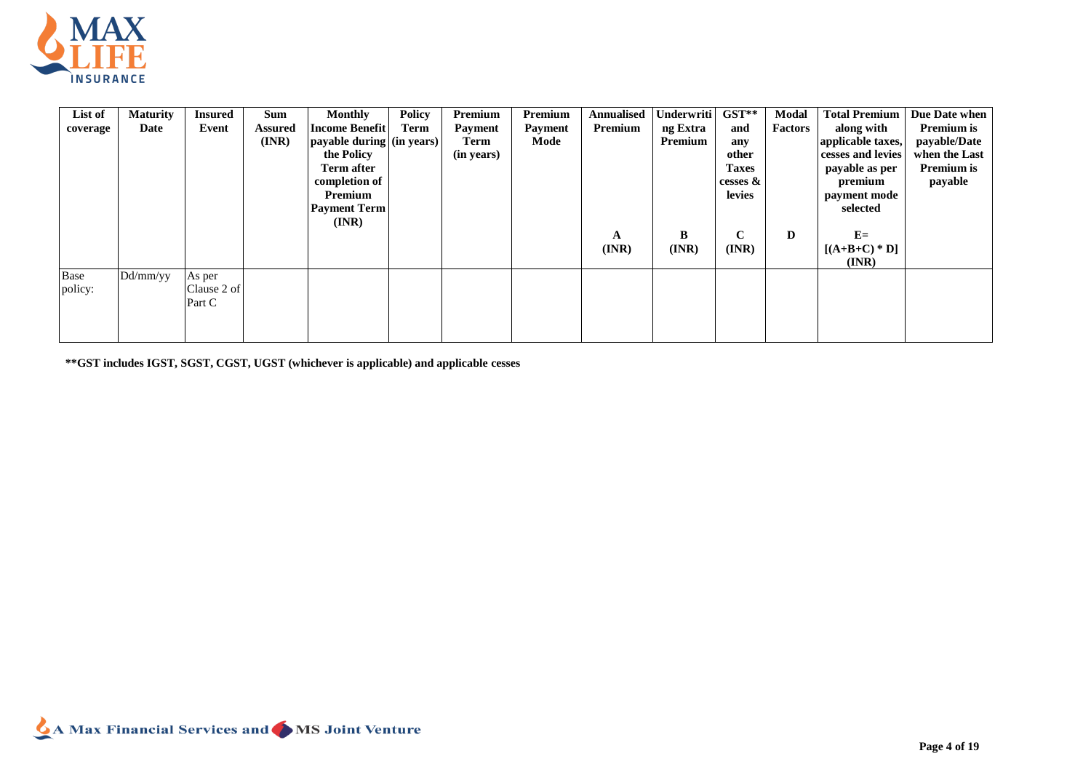

| List of  | <b>Maturity</b> | <b>Insured</b> | <b>Sum</b>     | <b>Monthly</b>            | <b>Policy</b> | Premium        | Premium | Annualised | Underwriti | $GST**$      | Modal   | <b>Total Premium</b> | Due Date when |
|----------|-----------------|----------------|----------------|---------------------------|---------------|----------------|---------|------------|------------|--------------|---------|----------------------|---------------|
| coverage | Date            | Event          | <b>Assured</b> | <b>Income Benefit</b>     | Term          | <b>Payment</b> | Payment | Premium    | ng Extra   | and          | Factors | along with           | Premium is    |
|          |                 |                | (INR)          | payable during (in years) |               | Term           | Mode    |            | Premium    | any          |         | applicable taxes,    | payable/Date  |
|          |                 |                |                | the Policy                |               | (in years)     |         |            |            | other        |         | cesses and levies    | when the Last |
|          |                 |                |                | <b>Term after</b>         |               |                |         |            |            | <b>Taxes</b> |         | payable as per       | Premium is    |
|          |                 |                |                | completion of             |               |                |         |            |            | cesses $\&$  |         | premium              | payable       |
|          |                 |                |                | Premium                   |               |                |         |            |            | levies       |         | payment mode         |               |
|          |                 |                |                | <b>Payment Term</b>       |               |                |         |            |            |              |         | selected             |               |
|          |                 |                |                | $(\mathbf{INR})$          |               |                |         |            |            |              |         |                      |               |
|          |                 |                |                |                           |               |                |         | A          | B          | $\mathbf C$  | D       | $E=$                 |               |
|          |                 |                |                |                           |               |                |         | (INR)      | (INR)      | (INR)        |         | $[(A+B+C)*D]$        |               |
|          |                 |                |                |                           |               |                |         |            |            |              |         | (INR)                |               |
| Base     | Dd/mm/yy        | As per         |                |                           |               |                |         |            |            |              |         |                      |               |
| policy:  |                 | Clause 2 of    |                |                           |               |                |         |            |            |              |         |                      |               |
|          |                 | Part C         |                |                           |               |                |         |            |            |              |         |                      |               |
|          |                 |                |                |                           |               |                |         |            |            |              |         |                      |               |
|          |                 |                |                |                           |               |                |         |            |            |              |         |                      |               |

**\*\*GST includes IGST, SGST, CGST, UGST (whichever is applicable) and applicable cesses**

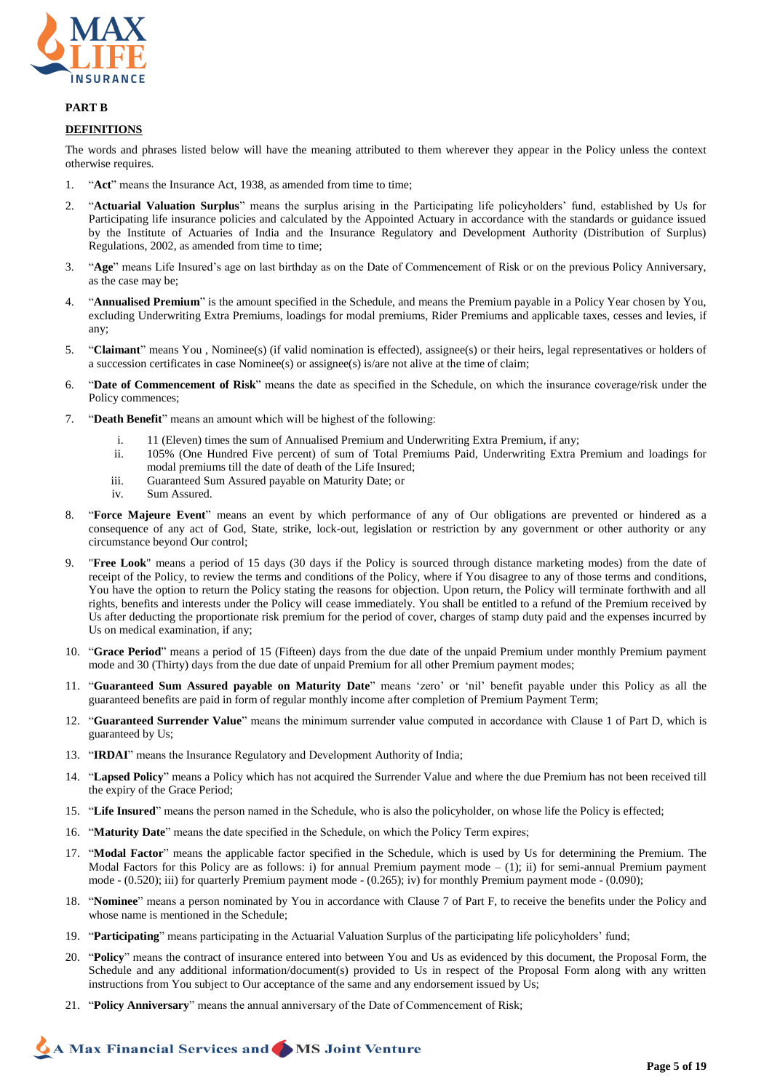

### **PART B**

### **DEFINITIONS**

The words and phrases listed below will have the meaning attributed to them wherever they appear in the Policy unless the context otherwise requires.

- 1. "**Act**" means the Insurance Act, 1938, as amended from time to time;
- 2. "**Actuarial Valuation Surplus**" means the surplus arising in the Participating life policyholders' fund, established by Us for Participating life insurance policies and calculated by the Appointed Actuary in accordance with the standards or guidance issued by the Institute of Actuaries of India and the Insurance Regulatory and Development Authority (Distribution of Surplus) Regulations, 2002, as amended from time to time;
- 3. "**Age**" means Life Insured's age on last birthday as on the Date of Commencement of Risk or on the previous Policy Anniversary, as the case may be;
- 4. "**Annualised Premium**" is the amount specified in the Schedule, and means the Premium payable in a Policy Year chosen by You, excluding Underwriting Extra Premiums, loadings for modal premiums, Rider Premiums and applicable taxes, cesses and levies, if any;
- 5. "**Claimant**" means You , Nominee(s) (if valid nomination is effected), assignee(s) or their heirs, legal representatives or holders of a succession certificates in case Nominee(s) or assignee(s) is/are not alive at the time of claim;
- 6. "**Date of Commencement of Risk**" means the date as specified in the Schedule, on which the insurance coverage/risk under the Policy commences;
- 7. "**Death Benefit**" means an amount which will be highest of the following:
	- i. 11 (Eleven) times the sum of Annualised Premium and Underwriting Extra Premium, if any;
	- ii. 105% (One Hundred Five percent) of sum of Total Premiums Paid, Underwriting Extra Premium and loadings for modal premiums till the date of death of the Life Insured;
	- iii. Guaranteed Sum Assured payable on Maturity Date; or
	- iv. Sum Assured.
- 8. "**Force Majeure Event**" means an event by which performance of any of Our obligations are prevented or hindered as a consequence of any act of God, State, strike, lock-out, legislation or restriction by any government or other authority or any circumstance beyond Our control;
- 9. "**Free Look**" means a period of 15 days (30 days if the Policy is sourced through distance marketing modes) from the date of receipt of the Policy, to review the terms and conditions of the Policy, where if You disagree to any of those terms and conditions, You have the option to return the Policy stating the reasons for objection. Upon return, the Policy will terminate forthwith and all rights, benefits and interests under the Policy will cease immediately. You shall be entitled to a refund of the Premium received by Us after deducting the proportionate risk premium for the period of cover, charges of stamp duty paid and the expenses incurred by Us on medical examination, if any;
- 10. "**Grace Period**" means a period of 15 (Fifteen) days from the due date of the unpaid Premium under monthly Premium payment mode and 30 (Thirty) days from the due date of unpaid Premium for all other Premium payment modes;
- 11. "**Guaranteed Sum Assured payable on Maturity Date**" means 'zero' or 'nil' benefit payable under this Policy as all the guaranteed benefits are paid in form of regular monthly income after completion of Premium Payment Term;
- 12. "**Guaranteed Surrender Value**" means the minimum surrender value computed in accordance with Clause 1 of Part D, which is guaranteed by Us;
- 13. "**IRDAI**" means the Insurance Regulatory and Development Authority of India;
- 14. "**Lapsed Policy**" means a Policy which has not acquired the Surrender Value and where the due Premium has not been received till the expiry of the Grace Period;
- 15. "**Life Insured**" means the person named in the Schedule, who is also the policyholder, on whose life the Policy is effected;
- 16. "**Maturity Date**" means the date specified in the Schedule, on which the Policy Term expires;
- 17. "**Modal Factor**" means the applicable factor specified in the Schedule, which is used by Us for determining the Premium. The Modal Factors for this Policy are as follows: i) for annual Premium payment mode  $- (1)$ ; ii) for semi-annual Premium payment mode - (0.520); iii) for quarterly Premium payment mode - (0.265); iv) for monthly Premium payment mode - (0.090);
- 18. "**Nominee**" means a person nominated by You in accordance with Clause 7 of Part F, to receive the benefits under the Policy and whose name is mentioned in the Schedule;
- 19. "**Participating**" means participating in the Actuarial Valuation Surplus of the participating life policyholders' fund;
- 20. "**Policy**" means the contract of insurance entered into between You and Us as evidenced by this document, the Proposal Form, the Schedule and any additional information/document(s) provided to Us in respect of the Proposal Form along with any written instructions from You subject to Our acceptance of the same and any endorsement issued by Us;
- 21. "**Policy Anniversary**" means the annual anniversary of the Date of Commencement of Risk;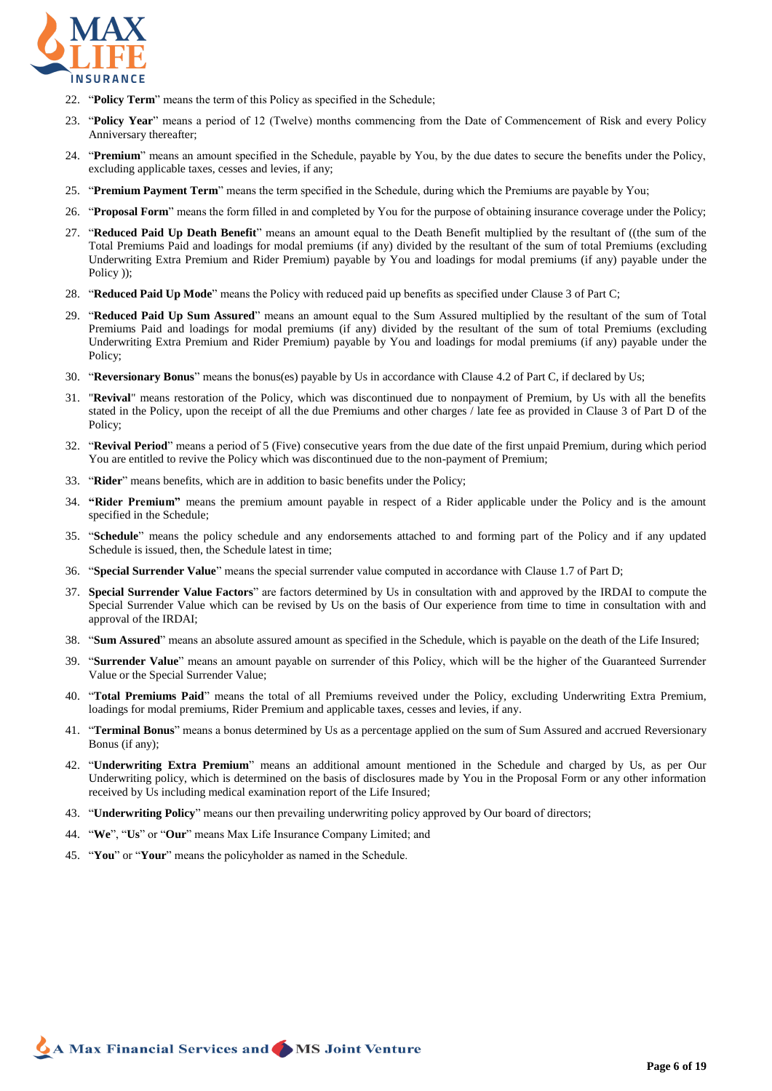

- 22. "**Policy Term**" means the term of this Policy as specified in the Schedule;
- 23. "**Policy Year**" means a period of 12 (Twelve) months commencing from the Date of Commencement of Risk and every Policy Anniversary thereafter;
- 24. "**Premium**" means an amount specified in the Schedule, payable by You, by the due dates to secure the benefits under the Policy, excluding applicable taxes, cesses and levies, if any;
- 25. "**Premium Payment Term**" means the term specified in the Schedule, during which the Premiums are payable by You;
- 26. "**Proposal Form**" means the form filled in and completed by You for the purpose of obtaining insurance coverage under the Policy;
- 27. "**Reduced Paid Up Death Benefit**" means an amount equal to the Death Benefit multiplied by the resultant of ((the sum of the Total Premiums Paid and loadings for modal premiums (if any) divided by the resultant of the sum of total Premiums (excluding Underwriting Extra Premium and Rider Premium) payable by You and loadings for modal premiums (if any) payable under the Policy ));
- 28. "**Reduced Paid Up Mode**" means the Policy with reduced paid up benefits as specified under Clause 3 of Part C;
- 29. "**Reduced Paid Up Sum Assured**" means an amount equal to the Sum Assured multiplied by the resultant of the sum of Total Premiums Paid and loadings for modal premiums (if any) divided by the resultant of the sum of total Premiums (excluding Underwriting Extra Premium and Rider Premium) payable by You and loadings for modal premiums (if any) payable under the Policy;
- 30. "**Reversionary Bonus**" means the bonus(es) payable by Us in accordance with Clause 4.2 of Part C, if declared by Us;
- 31. "**Revival**" means restoration of the Policy, which was discontinued due to nonpayment of Premium, by Us with all the benefits stated in the Policy, upon the receipt of all the due Premiums and other charges / late fee as provided in Clause 3 of Part D of the Policy;
- 32. "**Revival Period**" means a period of 5 (Five) consecutive years from the due date of the first unpaid Premium, during which period You are entitled to revive the Policy which was discontinued due to the non-payment of Premium;
- 33. "**Rider**" means benefits, which are in addition to basic benefits under the Policy;
- 34. **"Rider Premium"** means the premium amount payable in respect of a Rider applicable under the Policy and is the amount specified in the Schedule;
- 35. "**Schedule**" means the policy schedule and any endorsements attached to and forming part of the Policy and if any updated Schedule is issued, then, the Schedule latest in time;
- 36. "**Special Surrender Value**" means the special surrender value computed in accordance with Clause 1.7 of Part D;
- 37. **Special Surrender Value Factors**" are factors determined by Us in consultation with and approved by the IRDAI to compute the Special Surrender Value which can be revised by Us on the basis of Our experience from time to time in consultation with and approval of the IRDAI;
- 38. "**Sum Assured**" means an absolute assured amount as specified in the Schedule, which is payable on the death of the Life Insured;
- 39. "**Surrender Value**" means an amount payable on surrender of this Policy, which will be the higher of the Guaranteed Surrender Value or the Special Surrender Value;
- 40. "**Total Premiums Paid**" means the total of all Premiums reveived under the Policy, excluding Underwriting Extra Premium, loadings for modal premiums, Rider Premium and applicable taxes, cesses and levies, if any.
- 41. "**Terminal Bonus**" means a bonus determined by Us as a percentage applied on the sum of Sum Assured and accrued Reversionary Bonus (if any);
- 42. "**Underwriting Extra Premium**" means an additional amount mentioned in the Schedule and charged by Us, as per Our Underwriting policy, which is determined on the basis of disclosures made by You in the Proposal Form or any other information received by Us including medical examination report of the Life Insured;
- 43. "**Underwriting Policy**" means our then prevailing underwriting policy approved by Our board of directors;
- 44. "**We**", "**Us**" or "**Our**" means Max Life Insurance Company Limited; and
- 45. "**You**" or "**Your**" means the policyholder as named in the Schedule.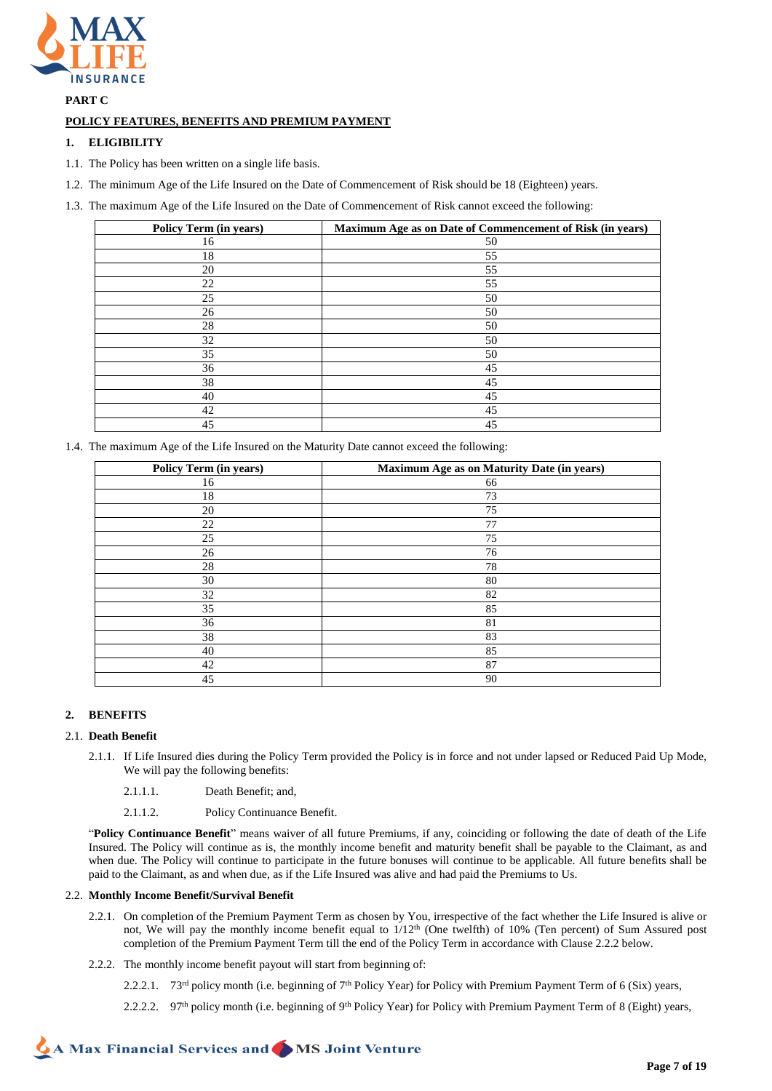

**PART C**

# **POLICY FEATURES, BENEFITS AND PREMIUM PAYMENT**

# **1. ELIGIBILITY**

- 1.1. The Policy has been written on a single life basis.
- 1.2. The minimum Age of the Life Insured on the Date of Commencement of Risk should be 18 (Eighteen) years.
- 1.3. The maximum Age of the Life Insured on the Date of Commencement of Risk cannot exceed the following:

| Policy Term (in years) | Maximum Age as on Date of Commencement of Risk (in years) |
|------------------------|-----------------------------------------------------------|
| 16                     | 50                                                        |
| 18                     | 55                                                        |
| 20                     | 55                                                        |
| 22                     | 55                                                        |
| 25                     | 50                                                        |
| 26                     | 50                                                        |
| 28                     | 50                                                        |
| 32                     | 50                                                        |
| 35                     | 50                                                        |
| 36                     | 45                                                        |
| 38                     | 45                                                        |
| 40                     | 45                                                        |
| 42                     | 45                                                        |
| 45                     | 45                                                        |

1.4. The maximum Age of the Life Insured on the Maturity Date cannot exceed the following:

| <b>Policy Term (in years)</b> | Maximum Age as on Maturity Date (in years) |
|-------------------------------|--------------------------------------------|
| 16                            | 66                                         |
| 18                            | 73                                         |
| 20                            | 75                                         |
| 22                            | 77                                         |
| 25                            | 75                                         |
| 26                            | 76                                         |
| 28                            | 78                                         |
| 30                            | 80                                         |
| 32                            | 82                                         |
| 35                            | 85                                         |
| 36                            | 81                                         |
| 38                            | 83                                         |
| 40                            | 85                                         |
| 42                            | 87                                         |
| 45                            | 90                                         |

### **2. BENEFITS**

### 2.1. **Death Benefit**

- 2.1.1. If Life Insured dies during the Policy Term provided the Policy is in force and not under lapsed or Reduced Paid Up Mode, We will pay the following benefits:
	- 2.1.1.1. Death Benefit; and,
	- 2.1.1.2. Policy Continuance Benefit.

"**Policy Continuance Benefit**" means waiver of all future Premiums, if any, coinciding or following the date of death of the Life Insured. The Policy will continue as is, the monthly income benefit and maturity benefit shall be payable to the Claimant, as and when due. The Policy will continue to participate in the future bonuses will continue to be applicable. All future benefits shall be paid to the Claimant, as and when due, as if the Life Insured was alive and had paid the Premiums to Us.

### 2.2. **Monthly Income Benefit/Survival Benefit**

- 2.2.1. On completion of the Premium Payment Term as chosen by You, irrespective of the fact whether the Life Insured is alive or not, We will pay the monthly income benefit equal to  $1/12<sup>th</sup>$  (One twelfth) of 10% (Ten percent) of Sum Assured post completion of the Premium Payment Term till the end of the Policy Term in accordance with Clause 2.2.2 below.
- 2.2.2. The monthly income benefit payout will start from beginning of:
	- 2.2.2.1. 73<sup>rd</sup> policy month (i.e. beginning of 7<sup>th</sup> Policy Year) for Policy with Premium Payment Term of 6 (Six) years,
	- 2.2.2.2. 97<sup>th</sup> policy month (i.e. beginning of 9<sup>th</sup> Policy Year) for Policy with Premium Payment Term of 8 (Eight) years,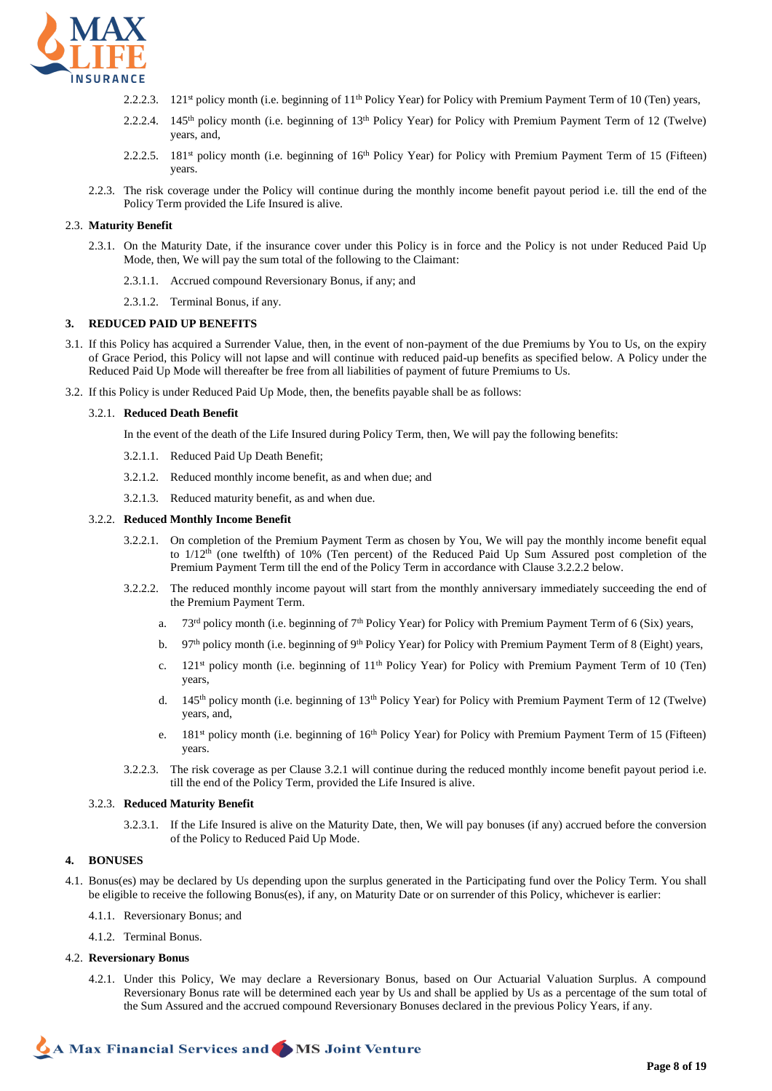

- 2.2.2.3. 121<sup>st</sup> policy month (i.e. beginning of 11<sup>th</sup> Policy Year) for Policy with Premium Payment Term of 10 (Ten) years,
- 2.2.2.4. 145th policy month (i.e. beginning of 13th Policy Year) for Policy with Premium Payment Term of 12 (Twelve) years, and,
- 2.2.2.5. 181<sup>st</sup> policy month (i.e. beginning of  $16<sup>th</sup>$  Policy Year) for Policy with Premium Payment Term of 15 (Fifteen) years.
- 2.2.3. The risk coverage under the Policy will continue during the monthly income benefit payout period i.e. till the end of the Policy Term provided the Life Insured is alive.

### 2.3. **Maturity Benefit**

- 2.3.1. On the Maturity Date, if the insurance cover under this Policy is in force and the Policy is not under Reduced Paid Up Mode, then, We will pay the sum total of the following to the Claimant:
	- 2.3.1.1. Accrued compound Reversionary Bonus, if any; and
	- 2.3.1.2. Terminal Bonus, if any.

### **3. REDUCED PAID UP BENEFITS**

- 3.1. If this Policy has acquired a Surrender Value, then, in the event of non-payment of the due Premiums by You to Us, on the expiry of Grace Period, this Policy will not lapse and will continue with reduced paid-up benefits as specified below. A Policy under the Reduced Paid Up Mode will thereafter be free from all liabilities of payment of future Premiums to Us.
- 3.2. If this Policy is under Reduced Paid Up Mode, then, the benefits payable shall be as follows:

#### 3.2.1. **Reduced Death Benefit**

In the event of the death of the Life Insured during Policy Term, then, We will pay the following benefits:

- 3.2.1.1. Reduced Paid Up Death Benefit;
- 3.2.1.2. Reduced monthly income benefit, as and when due; and
- 3.2.1.3. Reduced maturity benefit, as and when due.

### 3.2.2. **Reduced Monthly Income Benefit**

- 3.2.2.1. On completion of the Premium Payment Term as chosen by You, We will pay the monthly income benefit equal to 1/12<sup>th</sup> (one twelfth) of 10% (Ten percent) of the Reduced Paid Up Sum Assured post completion of the Premium Payment Term till the end of the Policy Term in accordance with Clause 3.2.2.2 below.
- 3.2.2.2. The reduced monthly income payout will start from the monthly anniversary immediately succeeding the end of the Premium Payment Term.
	- a. 73<sup>rd</sup> policy month (i.e. beginning of 7<sup>th</sup> Policy Year) for Policy with Premium Payment Term of 6 (Six) years,
	- b. 97<sup>th</sup> policy month (i.e. beginning of 9<sup>th</sup> Policy Year) for Policy with Premium Payment Term of 8 (Eight) years,
	- c.  $121<sup>st</sup>$  policy month (i.e. beginning of  $11<sup>th</sup>$  Policy Year) for Policy with Premium Payment Term of 10 (Ten) years,
	- d. 145<sup>th</sup> policy month (i.e. beginning of 13<sup>th</sup> Policy Year) for Policy with Premium Payment Term of 12 (Twelve) years, and,
	- e.  $181<sup>st</sup>$  policy month (i.e. beginning of  $16<sup>th</sup>$  Policy Year) for Policy with Premium Payment Term of 15 (Fifteen) years.
- 3.2.2.3. The risk coverage as per Clause 3.2.1 will continue during the reduced monthly income benefit payout period i.e. till the end of the Policy Term, provided the Life Insured is alive.

### 3.2.3. **Reduced Maturity Benefit**

3.2.3.1. If the Life Insured is alive on the Maturity Date, then, We will pay bonuses (if any) accrued before the conversion of the Policy to Reduced Paid Up Mode.

### **4. BONUSES**

- 4.1. Bonus(es) may be declared by Us depending upon the surplus generated in the Participating fund over the Policy Term. You shall be eligible to receive the following Bonus(es), if any, on Maturity Date or on surrender of this Policy, whichever is earlier:
	- 4.1.1. Reversionary Bonus; and
	- 4.1.2. Terminal Bonus.

### 4.2. **Reversionary Bonus**

4.2.1. Under this Policy, We may declare a Reversionary Bonus, based on Our Actuarial Valuation Surplus. A compound Reversionary Bonus rate will be determined each year by Us and shall be applied by Us as a percentage of the sum total of the Sum Assured and the accrued compound Reversionary Bonuses declared in the previous Policy Years, if any.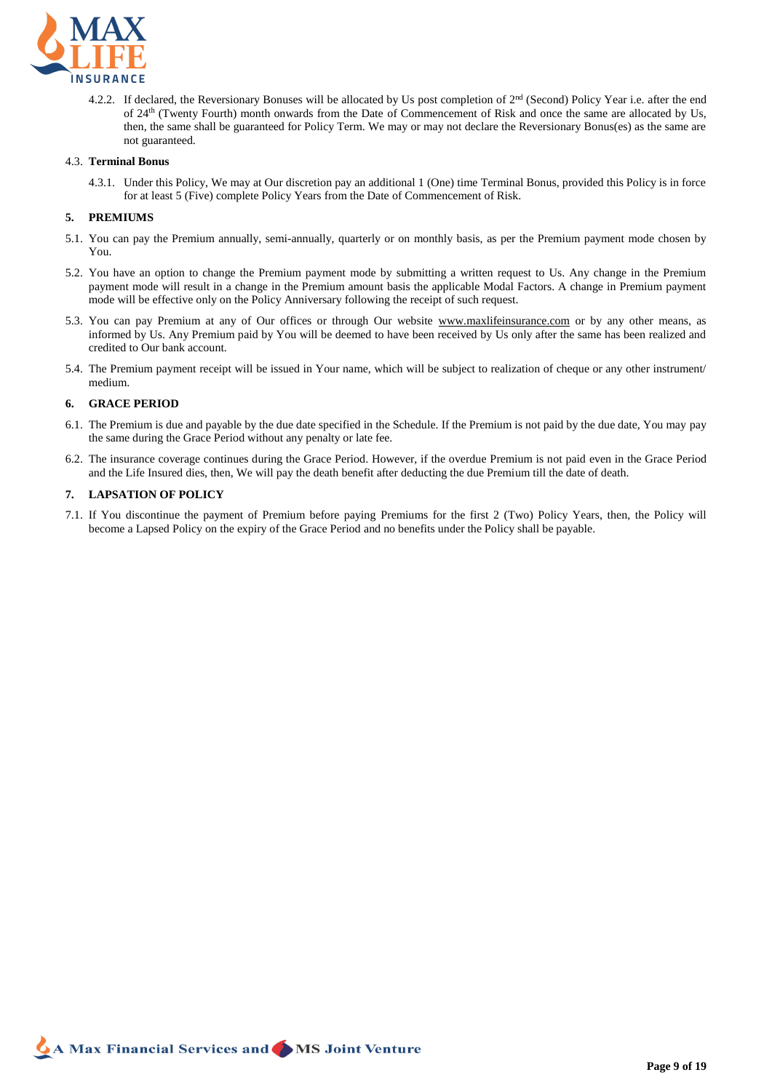

4.2.2. If declared, the Reversionary Bonuses will be allocated by Us post completion of  $2<sup>nd</sup>$  (Second) Policy Year i.e. after the end of 24th (Twenty Fourth) month onwards from the Date of Commencement of Risk and once the same are allocated by Us, then, the same shall be guaranteed for Policy Term. We may or may not declare the Reversionary Bonus(es) as the same are not guaranteed.

# 4.3. **Terminal Bonus**

4.3.1. Under this Policy, We may at Our discretion pay an additional 1 (One) time Terminal Bonus, provided this Policy is in force for at least 5 (Five) complete Policy Years from the Date of Commencement of Risk.

### **5. PREMIUMS**

- 5.1. You can pay the Premium annually, semi-annually, quarterly or on monthly basis, as per the Premium payment mode chosen by You.
- 5.2. You have an option to change the Premium payment mode by submitting a written request to Us. Any change in the Premium payment mode will result in a change in the Premium amount basis the applicable Modal Factors. A change in Premium payment mode will be effective only on the Policy Anniversary following the receipt of such request.
- 5.3. You can pay Premium at any of Our offices or through Our website www.maxlifeinsurance.com or by any other means, as informed by Us. Any Premium paid by You will be deemed to have been received by Us only after the same has been realized and credited to Our bank account.
- 5.4. The Premium payment receipt will be issued in Your name, which will be subject to realization of cheque or any other instrument/ medium.

### **6. GRACE PERIOD**

- 6.1. The Premium is due and payable by the due date specified in the Schedule. If the Premium is not paid by the due date, You may pay the same during the Grace Period without any penalty or late fee.
- 6.2. The insurance coverage continues during the Grace Period. However, if the overdue Premium is not paid even in the Grace Period and the Life Insured dies, then, We will pay the death benefit after deducting the due Premium till the date of death.

### **7. LAPSATION OF POLICY**

7.1. If You discontinue the payment of Premium before paying Premiums for the first 2 (Two) Policy Years, then, the Policy will become a Lapsed Policy on the expiry of the Grace Period and no benefits under the Policy shall be payable.

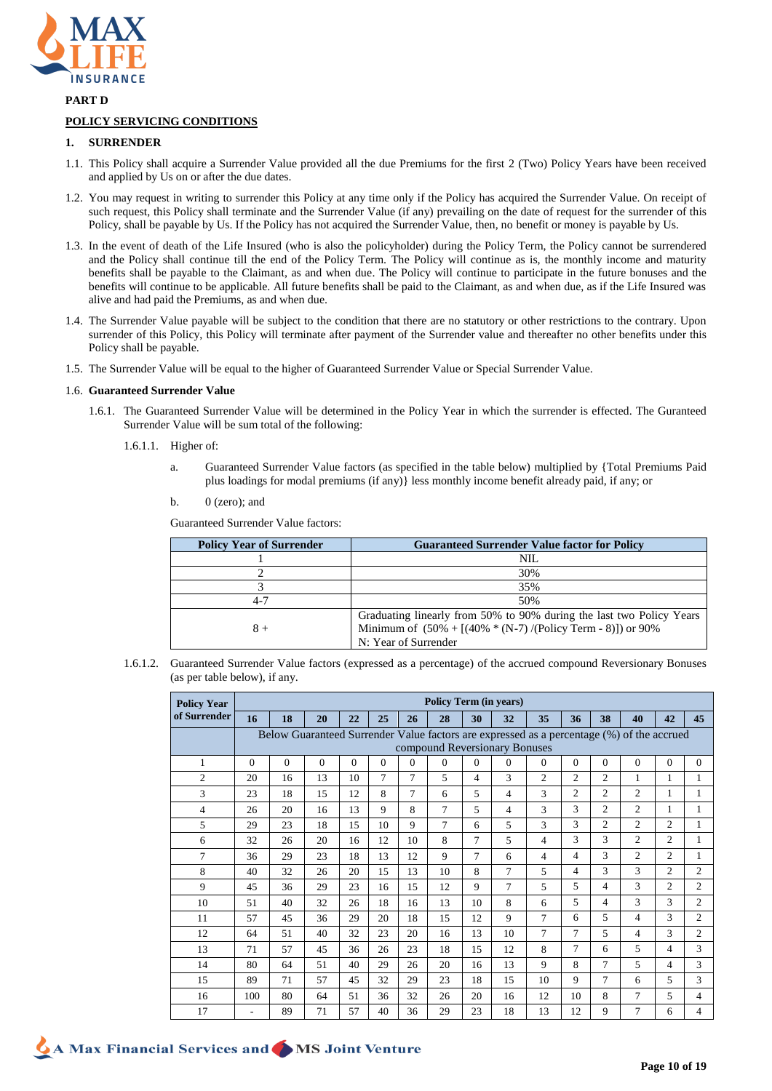

**PART D**

# **POLICY SERVICING CONDITIONS**

### **1. SURRENDER**

- 1.1. This Policy shall acquire a Surrender Value provided all the due Premiums for the first 2 (Two) Policy Years have been received and applied by Us on or after the due dates.
- 1.2. You may request in writing to surrender this Policy at any time only if the Policy has acquired the Surrender Value. On receipt of such request, this Policy shall terminate and the Surrender Value (if any) prevailing on the date of request for the surrender of this Policy, shall be payable by Us. If the Policy has not acquired the Surrender Value, then, no benefit or money is payable by Us.
- 1.3. In the event of death of the Life Insured (who is also the policyholder) during the Policy Term, the Policy cannot be surrendered and the Policy shall continue till the end of the Policy Term. The Policy will continue as is, the monthly income and maturity benefits shall be payable to the Claimant, as and when due. The Policy will continue to participate in the future bonuses and the benefits will continue to be applicable. All future benefits shall be paid to the Claimant, as and when due, as if the Life Insured was alive and had paid the Premiums, as and when due.
- 1.4. The Surrender Value payable will be subject to the condition that there are no statutory or other restrictions to the contrary. Upon surrender of this Policy, this Policy will terminate after payment of the Surrender value and thereafter no other benefits under this Policy shall be payable.
- 1.5. The Surrender Value will be equal to the higher of Guaranteed Surrender Value or Special Surrender Value.

### 1.6. **Guaranteed Surrender Value**

- 1.6.1. The Guaranteed Surrender Value will be determined in the Policy Year in which the surrender is effected. The Guranteed Surrender Value will be sum total of the following:
	- 1.6.1.1. Higher of:
		- a. Guaranteed Surrender Value factors (as specified in the table below) multiplied by {Total Premiums Paid plus loadings for modal premiums (if any)} less monthly income benefit already paid, if any; or
		- b.  $0$  (zero); and

Guaranteed Surrender Value factors:

| <b>Policy Year of Surrender</b> | <b>Guaranteed Surrender Value factor for Policy</b>                                                                                                              |
|---------------------------------|------------------------------------------------------------------------------------------------------------------------------------------------------------------|
|                                 | NIL                                                                                                                                                              |
|                                 | 30%                                                                                                                                                              |
|                                 | 35%                                                                                                                                                              |
| 4-7                             | 50%                                                                                                                                                              |
| $8+$                            | Graduating linearly from 50% to 90% during the last two Policy Years<br>Minimum of $(50\% + [(40\% * (N-7) / (Policy Term - 8)])$ or 90%<br>N: Year of Surrender |

1.6.1.2. Guaranteed Surrender Value factors (expressed as a percentage) of the accrued compound Reversionary Bonuses (as per table below), if any.

| <b>Policy Year</b> | <b>Policy Term (in years)</b>                                                             |                               |          |          |          |                |                |                |          |                |                |                |                |                |                |
|--------------------|-------------------------------------------------------------------------------------------|-------------------------------|----------|----------|----------|----------------|----------------|----------------|----------|----------------|----------------|----------------|----------------|----------------|----------------|
| of Surrender       | 16                                                                                        | 18                            | 20       | 22       | 25       | 26             | 28             | 30             | 32       | 35             | 36             | 38             | 40             | 42             | 45             |
|                    | Below Guaranteed Surrender Value factors are expressed as a percentage (%) of the accrued |                               |          |          |          |                |                |                |          |                |                |                |                |                |                |
|                    |                                                                                           | compound Reversionary Bonuses |          |          |          |                |                |                |          |                |                |                |                |                |                |
| 1                  | $\Omega$                                                                                  | $\Omega$                      | $\Omega$ | $\Omega$ | $\Omega$ | $\Omega$       | $\theta$       | $\Omega$       | $\Omega$ | $\Omega$       | $\Omega$       | $\Omega$       | $\mathbf{0}$   | $\mathbf{0}$   | $\Omega$       |
| $\overline{2}$     | 20                                                                                        | 16                            | 13       | 10       | 7        | $\overline{7}$ | 5              | $\overline{4}$ | 3        | $\mathfrak{2}$ | $\overline{c}$ | $\overline{2}$ | 1              | $\mathbf{1}$   | 1              |
| 3                  | 23                                                                                        | 18                            | 15       | 12       | 8        | 7              | 6              | 5              | 4        | 3              | $\mathfrak{2}$ | $\mathfrak{2}$ | $\overline{c}$ | 1              | 1              |
| 4                  | 26                                                                                        | 20                            | 16       | 13       | 9        | 8              | 7              | 5              | 4        | 3              | 3              | $\overline{c}$ | $\overline{c}$ | $\mathbf{1}$   | 1              |
| 5                  | 29                                                                                        | 23                            | 18       | 15       | 10       | 9              | $\overline{7}$ | 6              | 5        | 3              | 3              | $\overline{c}$ | $\overline{c}$ | $\overline{2}$ | $\mathbf{1}$   |
| 6                  | 32                                                                                        | 26                            | 20       | 16       | 12       | 10             | 8              | $\tau$         | 5        | 4              | 3              | 3              | $\overline{c}$ | $\overline{2}$ | $\mathbf{1}$   |
| 7                  | 36                                                                                        | 29                            | 23       | 18       | 13       | 12             | 9              | 7              | 6        | 4              | 4              | 3              | $\overline{c}$ | $\overline{2}$ | $\mathbf{1}$   |
| 8                  | 40                                                                                        | 32                            | 26       | 20       | 15       | 13             | 10             | 8              | 7        | 5              | 4              | 3              | 3              | $\overline{2}$ | $\overline{2}$ |
| 9                  | 45                                                                                        | 36                            | 29       | 23       | 16       | 15             | 12             | 9              | 7        | 5              | 5              | 4              | 3              | $\overline{2}$ | $\overline{2}$ |
| 10                 | 51                                                                                        | 40                            | 32       | 26       | 18       | 16             | 13             | 10             | 8        | 6              | 5              | 4              | 3              | 3              | $\overline{2}$ |
| 11                 | 57                                                                                        | 45                            | 36       | 29       | 20       | 18             | 15             | 12             | 9        | $\overline{7}$ | 6              | 5              | 4              | 3              | $\overline{2}$ |
| 12                 | 64                                                                                        | 51                            | 40       | 32       | 23       | 20             | 16             | 13             | 10       | $\overline{7}$ | 7              | 5              | 4              | 3              | $\overline{2}$ |
| 13                 | 71                                                                                        | 57                            | 45       | 36       | 26       | 23             | 18             | 15             | 12       | 8              | 7              | 6              | 5              | $\overline{4}$ | 3              |
| 14                 | 80                                                                                        | 64                            | 51       | 40       | 29       | 26             | 20             | 16             | 13       | 9              | 8              | 7              | 5              | $\overline{4}$ | 3              |
| 15                 | 89                                                                                        | 71                            | 57       | 45       | 32       | 29             | 23             | 18             | 15       | 10             | 9              | 7              | 6              | 5              | 3              |
| 16                 | 100                                                                                       | 80                            | 64       | 51       | 36       | 32             | 26             | 20             | 16       | 12             | 10             | 8              | 7              | 5              | $\overline{4}$ |
| 17                 |                                                                                           | 89                            | 71       | 57       | 40       | 36             | 29             | 23             | 18       | 13             | 12             | 9              | 7              | 6              | $\overline{4}$ |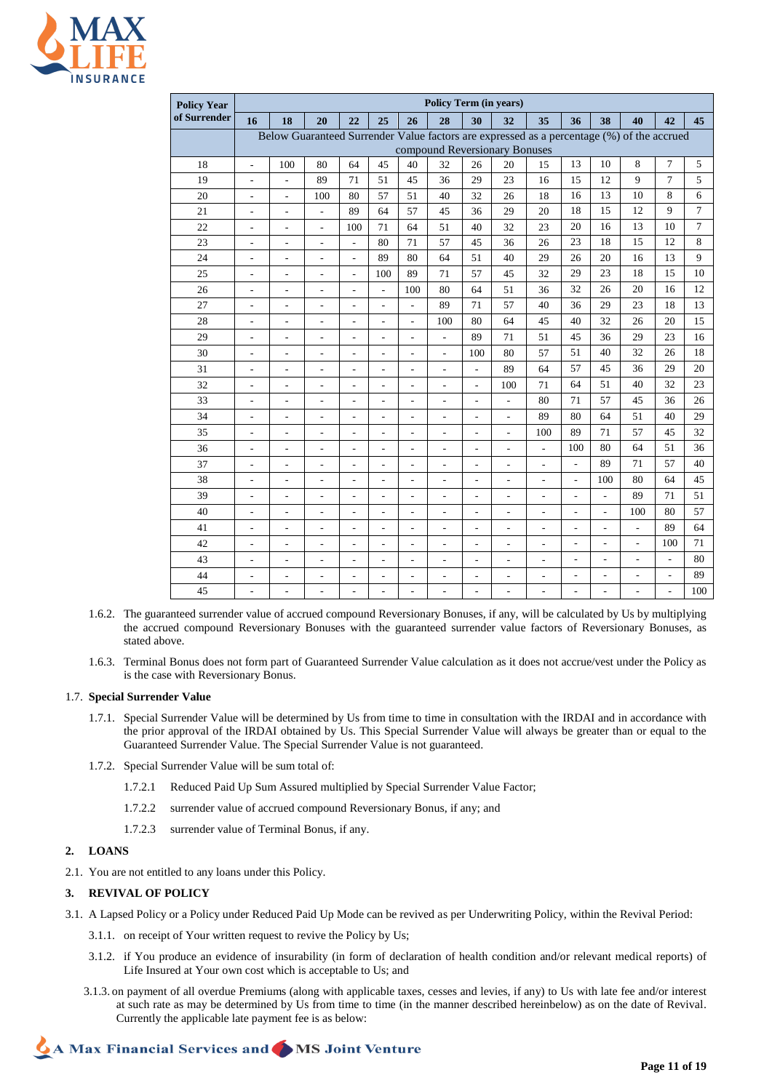

| <b>Policy Year</b> |                                                                                                                            | <b>Policy Term (in years)</b> |                              |                              |                          |                              |                          |                              |                          |                              |                          |                          |                          |                |                |
|--------------------|----------------------------------------------------------------------------------------------------------------------------|-------------------------------|------------------------------|------------------------------|--------------------------|------------------------------|--------------------------|------------------------------|--------------------------|------------------------------|--------------------------|--------------------------|--------------------------|----------------|----------------|
| of Surrender       | 16                                                                                                                         | 18                            | 20                           | 22                           | 25                       | 26                           | 28                       | 30                           | 32                       | 35                           | 36                       | 38                       | 40                       | 42             | 45             |
|                    | Below Guaranteed Surrender Value factors are expressed as a percentage (%) of the accrued<br>compound Reversionary Bonuses |                               |                              |                              |                          |                              |                          |                              |                          |                              |                          |                          |                          |                |                |
| 18                 | $\overline{\phantom{a}}$                                                                                                   | 100                           | 80                           | 64                           | 45                       | 40                           | 32                       | 26                           | 20                       | 15                           | 13                       | 10                       | 8                        | $\tau$         | 5              |
| 19                 | $\overline{a}$                                                                                                             | $\overline{a}$                | 89                           | 71                           | 51                       | 45                           | 36                       | 29                           | 23                       | 16                           | 15                       | 12                       | 9                        | $\overline{7}$ | 5              |
| 20                 | ÷,                                                                                                                         | $\overline{\phantom{a}}$      | 100                          | 80                           | 57                       | 51                           | 40                       | 32                           | 26                       | 18                           | 16                       | 13                       | 10                       | 8              | 6              |
| 21                 | ÷,                                                                                                                         | $\overline{\phantom{a}}$      | $\overline{a}$               | 89                           | 64                       | 57                           | 45                       | 36                           | 29                       | 20                           | 18                       | 15                       | 12                       | 9              | $\overline{7}$ |
| 22                 | $\overline{\phantom{a}}$                                                                                                   | $\overline{\phantom{a}}$      | $\frac{1}{2}$                | 100                          | 71                       | 64                           | 51                       | 40                           | 32                       | 23                           | 20                       | 16                       | 13                       | 10             | $\overline{7}$ |
| 23                 | $\qquad \qquad \blacksquare$                                                                                               | ÷,                            | $\overline{a}$               | $\overline{a}$               | 80                       | 71                           | 57                       | 45                           | 36                       | 26                           | 23                       | 18                       | 15                       | 12             | $\,8\,$        |
| 24                 | $\qquad \qquad \blacksquare$                                                                                               | $\qquad \qquad \blacksquare$  | $\qquad \qquad \blacksquare$ | $\overline{\phantom{a}}$     | 89                       | 80                           | 64                       | 51                           | 40                       | 29                           | 26                       | 20                       | 16                       | 13             | 9              |
| 25                 | ÷,                                                                                                                         | $\overline{\phantom{a}}$      | $\overline{\phantom{a}}$     | $\overline{\phantom{a}}$     | 100                      | 89                           | 71                       | 57                           | 45                       | 32                           | 29                       | 23                       | 18                       | 15             | 10             |
| 26                 | ÷,                                                                                                                         | $\overline{\phantom{m}}$      | $\overline{a}$               | $\overline{a}$               | $\overline{\phantom{a}}$ | 100                          | 80                       | 64                           | 51                       | 36                           | 32                       | 26                       | 20                       | 16             | 12             |
| 27                 | ÷,                                                                                                                         | $\overline{\phantom{a}}$      | ÷,                           | $\overline{\phantom{a}}$     | $\overline{\phantom{a}}$ | $\overline{a}$               | 89                       | 71                           | 57                       | 40                           | 36                       | 29                       | 23                       | 18             | 13             |
| 28                 | $\qquad \qquad \blacksquare$                                                                                               | $\overline{\phantom{a}}$      | $\overline{\phantom{a}}$     | $\qquad \qquad \blacksquare$ | $\overline{\phantom{a}}$ | $\qquad \qquad \blacksquare$ | 100                      | 80                           | 64                       | 45                           | 40                       | 32                       | 26                       | 20             | 15             |
| 29                 | $\overline{\phantom{a}}$                                                                                                   | $\frac{1}{2}$                 | $\blacksquare$               | $\blacksquare$               | $\overline{\phantom{a}}$ | $\overline{\phantom{m}}$     | $\qquad \qquad -$        | 89                           | 71                       | 51                           | 45                       | 36                       | 29                       | 23             | 16             |
| 30                 | ÷,                                                                                                                         | ÷,                            | $\overline{\phantom{a}}$     | $\frac{1}{2}$                | $\overline{\phantom{a}}$ | $\qquad \qquad \blacksquare$ | $\frac{1}{2}$            | 100                          | 80                       | 57                           | 51                       | 40                       | 32                       | 26             | 18             |
| 31                 | ÷,                                                                                                                         | ٠                             | $\overline{\phantom{a}}$     | $\overline{a}$               | $\overline{\phantom{a}}$ | $\overline{a}$               | $\overline{\phantom{a}}$ | $\frac{1}{2}$                | 89                       | 64                           | 57                       | 45                       | 36                       | 29             | 20             |
| 32                 | $\overline{\phantom{a}}$                                                                                                   | $\overline{\phantom{m}}$      | $\blacksquare$               | $\overline{\phantom{a}}$     | $\overline{\phantom{a}}$ | $\qquad \qquad \blacksquare$ | $\overline{\phantom{a}}$ | $\overline{\phantom{a}}$     | 100                      | 71                           | 64                       | 51                       | 40                       | 32             | 23             |
| 33                 | $\overline{\phantom{a}}$                                                                                                   | $\overline{\phantom{a}}$      | $\overline{\phantom{a}}$     | $\overline{a}$               | $\overline{\phantom{a}}$ | $\overline{a}$               | $\overline{\phantom{a}}$ | $\overline{a}$               | $\overline{a}$           | 80                           | 71                       | 57                       | 45                       | 36             | 26             |
| 34                 | $\qquad \qquad \blacksquare$                                                                                               | $\overline{\phantom{0}}$      | $\overline{a}$               | $\qquad \qquad \blacksquare$ | $\overline{\phantom{a}}$ | $\qquad \qquad \blacksquare$ | $\overline{\phantom{m}}$ | $\qquad \qquad \blacksquare$ | $\frac{1}{2}$            | 89                           | 80                       | 64                       | 51                       | 40             | 29             |
| 35                 | $\blacksquare$                                                                                                             | $\overline{\phantom{a}}$      | $\blacksquare$               | $\overline{\phantom{a}}$     | $\overline{\phantom{a}}$ | $\qquad \qquad \blacksquare$ | $\overline{\phantom{a}}$ | ÷                            | $\overline{\phantom{a}}$ | 100                          | 89                       | 71                       | 57                       | 45             | 32             |
| 36                 | $\overline{\phantom{a}}$                                                                                                   | $\overline{\phantom{a}}$      | $\frac{1}{2}$                | $\overline{\phantom{a}}$     | $\overline{\phantom{a}}$ | $\frac{1}{2}$                | $\frac{1}{2}$            | $\overline{a}$               | $\overline{a}$           | $\overline{\phantom{a}}$     | 100                      | 80                       | 64                       | 51             | 36             |
| 37                 | $\overline{\phantom{a}}$                                                                                                   | $\overline{a}$                | ÷,                           | $\overline{\phantom{a}}$     | $\overline{a}$           | L,                           | L,                       | ÷                            | $\overline{a}$           | L,                           | $\overline{a}$           | 89                       | 71                       | 57             | 40             |
| 38                 | $\overline{\phantom{a}}$                                                                                                   | $\overline{\phantom{a}}$      | $\overline{\phantom{a}}$     | $\overline{\phantom{a}}$     | $\overline{\phantom{a}}$ | $\overline{a}$               | $\overline{\phantom{a}}$ | ÷                            | $\overline{\phantom{a}}$ | $\overline{\phantom{a}}$     | $\overline{a}$           | 100                      | 80                       | 64             | 45             |
| 39                 | $\overline{\phantom{a}}$                                                                                                   | $\overline{\phantom{a}}$      | $\blacksquare$               | $\qquad \qquad \blacksquare$ | $\overline{\phantom{a}}$ | $\qquad \qquad \blacksquare$ | $\overline{\phantom{a}}$ | $\qquad \qquad \blacksquare$ | $\frac{1}{2}$            | $\qquad \qquad \blacksquare$ | $\overline{\phantom{0}}$ | $\blacksquare$           | 89                       | 71             | 51             |
| 40                 | $\overline{\phantom{a}}$                                                                                                   | $\frac{1}{2}$                 | $\overline{\phantom{a}}$     | $\overline{\phantom{a}}$     | $\overline{\phantom{a}}$ | $\qquad \qquad \blacksquare$ | $\overline{\phantom{a}}$ | $\qquad \qquad \blacksquare$ | $\overline{\phantom{a}}$ | $\overline{\phantom{a}}$     | ÷,                       | $\overline{\phantom{a}}$ | 100                      | 80             | 57             |
| 41                 | ÷,                                                                                                                         | $\overline{a}$                | ÷,                           | $\overline{\phantom{a}}$     | $\overline{a}$           | L,                           | $\overline{\phantom{a}}$ | ÷                            | $\overline{a}$           | $\overline{\phantom{a}}$     | $\overline{a}$           | $\overline{\phantom{a}}$ | $\overline{\phantom{a}}$ | 89             | 64             |
| 42                 | ÷,                                                                                                                         | $\overline{a}$                | L.                           | $\overline{a}$               | $\overline{a}$           | $\overline{a}$               | $\overline{a}$           | ÷,                           | $\overline{a}$           | $\overline{a}$               | L.                       | L.                       | $\overline{a}$           | 100            | 71             |
| 43                 | $\qquad \qquad \blacksquare$                                                                                               | $\qquad \qquad \blacksquare$  | $\qquad \qquad \blacksquare$ | $\overline{\phantom{a}}$     | $\overline{\phantom{m}}$ | $\qquad \qquad \blacksquare$ | $\overline{\phantom{a}}$ | $\overline{\phantom{m}}$     | $\overline{\phantom{a}}$ | $\qquad \qquad \blacksquare$ | $\overline{\phantom{0}}$ | $\overline{\phantom{0}}$ | ÷                        | $\overline{a}$ | 80             |
| 44                 | $\blacksquare$                                                                                                             | ÷,                            | $\overline{\phantom{a}}$     | $\overline{\phantom{a}}$     | $\overline{\phantom{a}}$ | $\overline{\phantom{a}}$     | $\overline{\phantom{a}}$ | $\overline{\phantom{a}}$     | $\overline{\phantom{a}}$ | $\blacksquare$               | $\overline{a}$           | $\blacksquare$           | $\overline{\phantom{a}}$ | $\frac{1}{2}$  | 89             |
| 45                 | L,                                                                                                                         | L,                            | L,                           | $\overline{\phantom{a}}$     | $\overline{a}$           | $\overline{a}$               | L,                       | L,                           | $\overline{a}$           | $\overline{\phantom{a}}$     | ÷,                       | $\overline{a}$           | ÷,                       | ä,             | 100            |

- 1.6.2. The guaranteed surrender value of accrued compound Reversionary Bonuses, if any, will be calculated by Us by multiplying the accrued compound Reversionary Bonuses with the guaranteed surrender value factors of Reversionary Bonuses, as stated above.
- 1.6.3. Terminal Bonus does not form part of Guaranteed Surrender Value calculation as it does not accrue/vest under the Policy as is the case with Reversionary Bonus.

### 1.7. **Special Surrender Value**

- 1.7.1. Special Surrender Value will be determined by Us from time to time in consultation with the IRDAI and in accordance with the prior approval of the IRDAI obtained by Us. This Special Surrender Value will always be greater than or equal to the Guaranteed Surrender Value. The Special Surrender Value is not guaranteed.
- 1.7.2. Special Surrender Value will be sum total of:
	- 1.7.2.1 Reduced Paid Up Sum Assured multiplied by Special Surrender Value Factor;
	- 1.7.2.2 surrender value of accrued compound Reversionary Bonus, if any; and
	- 1.7.2.3 surrender value of Terminal Bonus, if any.

### **2. LOANS**

2.1. You are not entitled to any loans under this Policy.

### **3. REVIVAL OF POLICY**

- 3.1. A Lapsed Policy or a Policy under Reduced Paid Up Mode can be revived as per Underwriting Policy, within the Revival Period:
	- 3.1.1. on receipt of Your written request to revive the Policy by Us;
	- 3.1.2. if You produce an evidence of insurability (in form of declaration of health condition and/or relevant medical reports) of Life Insured at Your own cost which is acceptable to Us; and
	- 3.1.3. on payment of all overdue Premiums (along with applicable taxes, cesses and levies, if any) to Us with late fee and/or interest at such rate as may be determined by Us from time to time (in the manner described hereinbelow) as on the date of Revival. Currently the applicable late payment fee is as below: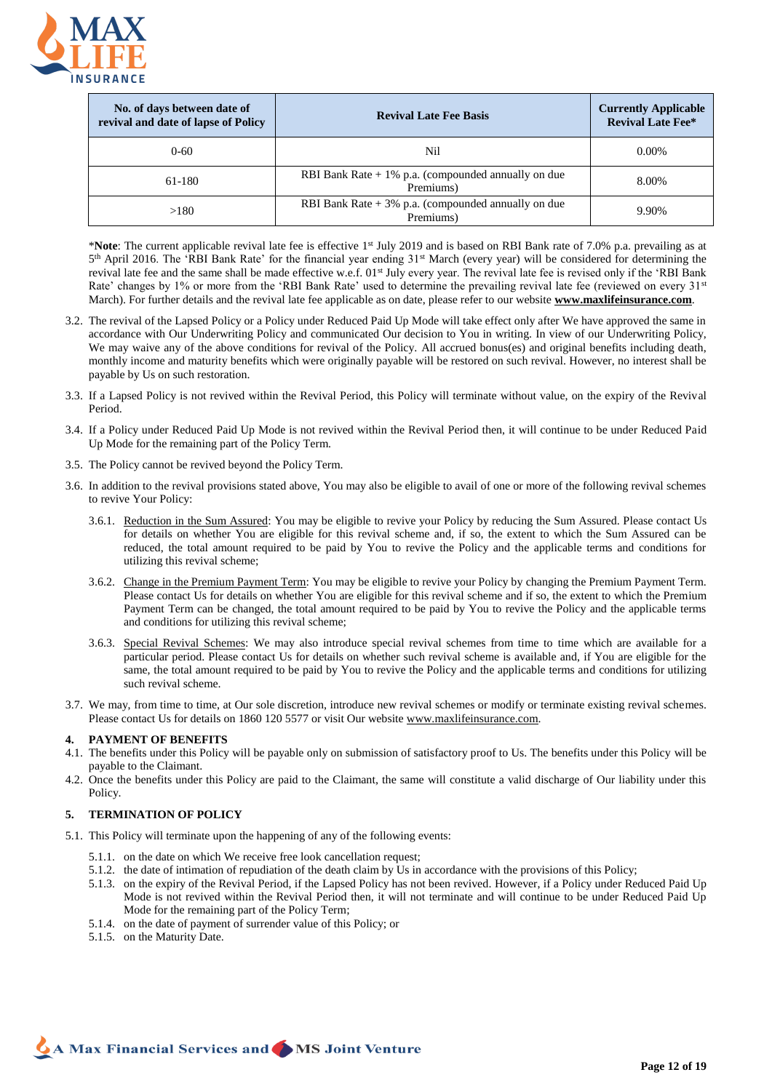

| No. of days between date of<br>revival and date of lapse of Policy | <b>Revival Late Fee Basis</b>                                      | <b>Currently Applicable</b><br><b>Revival Late Fee*</b> |
|--------------------------------------------------------------------|--------------------------------------------------------------------|---------------------------------------------------------|
| $0 - 60$                                                           | Nil                                                                | $0.00\%$                                                |
| 61-180                                                             | RBI Bank Rate $+1\%$ p.a. (compounded annually on due<br>Premiums) | 8.00%                                                   |
| >180                                                               | RBI Bank Rate $+3\%$ p.a. (compounded annually on due<br>Premiums) | 9.90%                                                   |

\***Note**: The current applicable revival late fee is effective 1st July 2019 and is based on RBI Bank rate of 7.0% p.a. prevailing as at 5<sup>th</sup> April 2016. The 'RBI Bank Rate' for the financial year ending 31<sup>st</sup> March (every year) will be considered for determining the revival late fee and the same shall be made effective w.e.f. 01<sup>st</sup> July every year. The revival late fee is revised only if the 'RBI Bank Rate' changes by 1% or more from the 'RBI Bank Rate' used to determine the prevailing revival late fee (reviewed on every 31<sup>st</sup> March). For further details and the revival late fee applicable as on date, please refer to our website **www.maxlifeinsurance.com**.

- 3.2. The revival of the Lapsed Policy or a Policy under Reduced Paid Up Mode will take effect only after We have approved the same in accordance with Our Underwriting Policy and communicated Our decision to You in writing. In view of our Underwriting Policy, We may waive any of the above conditions for revival of the Policy. All accrued bonus(es) and original benefits including death, monthly income and maturity benefits which were originally payable will be restored on such revival. However, no interest shall be payable by Us on such restoration.
- 3.3. If a Lapsed Policy is not revived within the Revival Period, this Policy will terminate without value, on the expiry of the Revival Period.
- 3.4. If a Policy under Reduced Paid Up Mode is not revived within the Revival Period then, it will continue to be under Reduced Paid Up Mode for the remaining part of the Policy Term.
- 3.5. The Policy cannot be revived beyond the Policy Term.
- 3.6. In addition to the revival provisions stated above, You may also be eligible to avail of one or more of the following revival schemes to revive Your Policy:
	- 3.6.1. Reduction in the Sum Assured: You may be eligible to revive your Policy by reducing the Sum Assured. Please contact Us for details on whether You are eligible for this revival scheme and, if so, the extent to which the Sum Assured can be reduced, the total amount required to be paid by You to revive the Policy and the applicable terms and conditions for utilizing this revival scheme;
	- 3.6.2. Change in the Premium Payment Term: You may be eligible to revive your Policy by changing the Premium Payment Term. Please contact Us for details on whether You are eligible for this revival scheme and if so, the extent to which the Premium Payment Term can be changed, the total amount required to be paid by You to revive the Policy and the applicable terms and conditions for utilizing this revival scheme;
	- 3.6.3. Special Revival Schemes: We may also introduce special revival schemes from time to time which are available for a particular period. Please contact Us for details on whether such revival scheme is available and, if You are eligible for the same, the total amount required to be paid by You to revive the Policy and the applicable terms and conditions for utilizing such revival scheme.
- 3.7. We may, from time to time, at Our sole discretion, introduce new revival schemes or modify or terminate existing revival schemes. Please contact Us for details on 1860 120 5577 or visit Our websit[e www.maxlifeinsurance.com.](http://www.maxlifeinsurance.com/)

### **4. PAYMENT OF BENEFITS**

- 4.1. The benefits under this Policy will be payable only on submission of satisfactory proof to Us. The benefits under this Policy will be payable to the Claimant.
- 4.2. Once the benefits under this Policy are paid to the Claimant, the same will constitute a valid discharge of Our liability under this Policy.

# **5. TERMINATION OF POLICY**

- 5.1. This Policy will terminate upon the happening of any of the following events:
	- 5.1.1. on the date on which We receive free look cancellation request;
	- 5.1.2. the date of intimation of repudiation of the death claim by Us in accordance with the provisions of this Policy;
	- 5.1.3. on the expiry of the Revival Period, if the Lapsed Policy has not been revived. However, if a Policy under Reduced Paid Up Mode is not revived within the Revival Period then, it will not terminate and will continue to be under Reduced Paid Up Mode for the remaining part of the Policy Term;
	- 5.1.4. on the date of payment of surrender value of this Policy; or
	- 5.1.5. on the Maturity Date.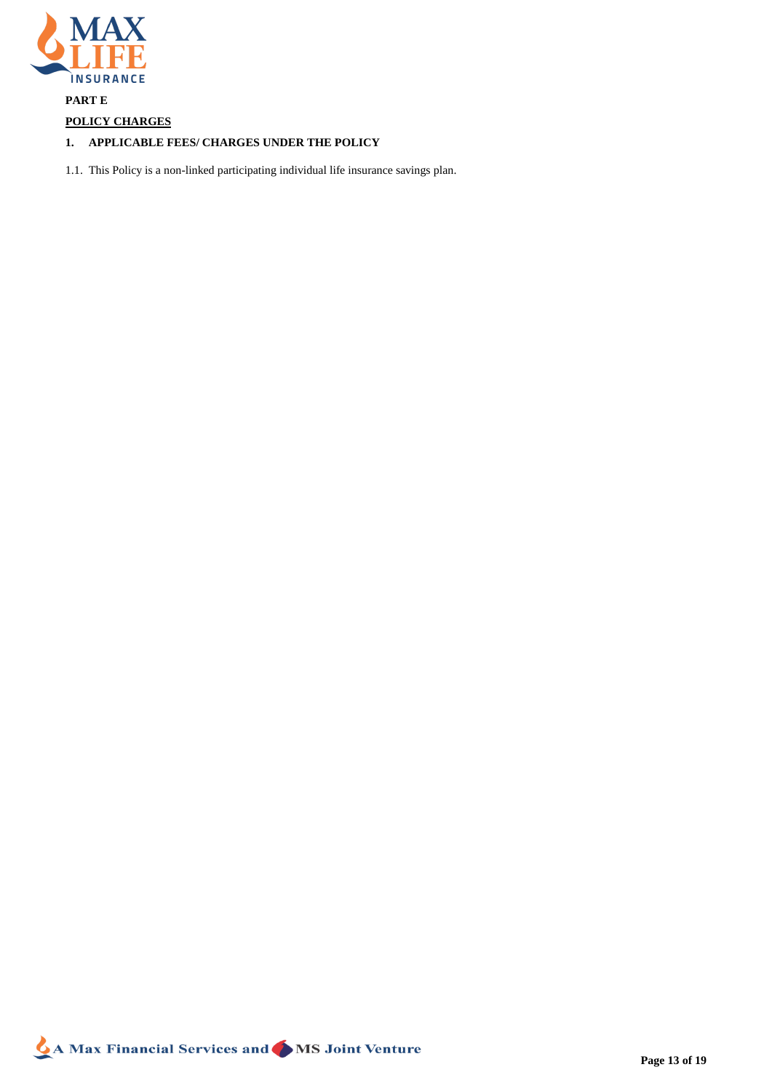

# **PART E**

# **POLICY CHARGES**

# **1. APPLICABLE FEES/ CHARGES UNDER THE POLICY**

1.1. This Policy is a non-linked participating individual life insurance savings plan.

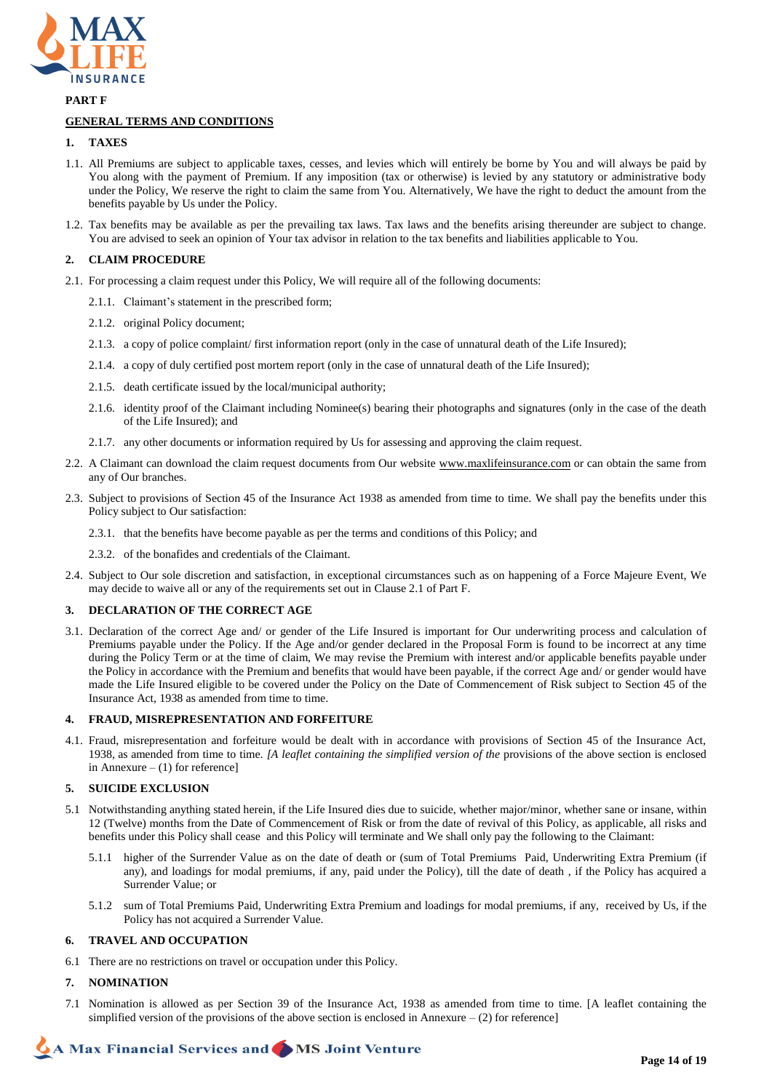

**PART F**

# **GENERAL TERMS AND CONDITIONS**

# **1. TAXES**

- 1.1. All Premiums are subject to applicable taxes, cesses, and levies which will entirely be borne by You and will always be paid by You along with the payment of Premium. If any imposition (tax or otherwise) is levied by any statutory or administrative body under the Policy, We reserve the right to claim the same from You. Alternatively, We have the right to deduct the amount from the benefits payable by Us under the Policy.
- 1.2. Tax benefits may be available as per the prevailing tax laws. Tax laws and the benefits arising thereunder are subject to change. You are advised to seek an opinion of Your tax advisor in relation to the tax benefits and liabilities applicable to You.

# **2. CLAIM PROCEDURE**

- 2.1. For processing a claim request under this Policy, We will require all of the following documents:
	- 2.1.1. Claimant's statement in the prescribed form;
	- 2.1.2. original Policy document;
	- 2.1.3. a copy of police complaint/ first information report (only in the case of unnatural death of the Life Insured);
	- 2.1.4. a copy of duly certified post mortem report (only in the case of unnatural death of the Life Insured);
	- 2.1.5. death certificate issued by the local/municipal authority;
	- 2.1.6. identity proof of the Claimant including Nominee(s) bearing their photographs and signatures (only in the case of the death of the Life Insured); and
	- 2.1.7. any other documents or information required by Us for assessing and approving the claim request.
- 2.2. A Claimant can download the claim request documents from Our website [www.maxlifeinsurance.com](http://www.maxlifeinsurance.com/) or can obtain the same from any of Our branches.
- 2.3. Subject to provisions of Section 45 of the Insurance Act 1938 as amended from time to time. We shall pay the benefits under this Policy subject to Our satisfaction:
	- 2.3.1. that the benefits have become payable as per the terms and conditions of this Policy; and
	- 2.3.2. of the bonafides and credentials of the Claimant.
- 2.4. Subject to Our sole discretion and satisfaction, in exceptional circumstances such as on happening of a Force Majeure Event, We may decide to waive all or any of the requirements set out in Clause 2.1 of Part F.

### **3. DECLARATION OF THE CORRECT AGE**

3.1. Declaration of the correct Age and/ or gender of the Life Insured is important for Our underwriting process and calculation of Premiums payable under the Policy. If the Age and/or gender declared in the Proposal Form is found to be incorrect at any time during the Policy Term or at the time of claim, We may revise the Premium with interest and/or applicable benefits payable under the Policy in accordance with the Premium and benefits that would have been payable, if the correct Age and/ or gender would have made the Life Insured eligible to be covered under the Policy on the Date of Commencement of Risk subject to Section 45 of the Insurance Act, 1938 as amended from time to time.

# **4. FRAUD, MISREPRESENTATION AND FORFEITURE**

4.1. Fraud, misrepresentation and forfeiture would be dealt with in accordance with provisions of Section 45 of the Insurance Act, 1938, as amended from time to time. *[A leaflet containing the simplified version of the* provisions of the above section is enclosed in Annexure  $- (1)$  for reference]

### **5. SUICIDE EXCLUSION**

- 5.1 Notwithstanding anything stated herein, if the Life Insured dies due to suicide, whether major/minor, whether sane or insane, within 12 (Twelve) months from the Date of Commencement of Risk or from the date of revival of this Policy, as applicable, all risks and benefits under this Policy shall cease and this Policy will terminate and We shall only pay the following to the Claimant:
	- 5.1.1 higher of the Surrender Value as on the date of death or (sum of Total Premiums Paid, Underwriting Extra Premium (if any), and loadings for modal premiums, if any, paid under the Policy), till the date of death , if the Policy has acquired a Surrender Value; or
	- 5.1.2 sum of Total Premiums Paid, Underwriting Extra Premium and loadings for modal premiums, if any, received by Us, if the Policy has not acquired a Surrender Value.

# **6. TRAVEL AND OCCUPATION**

6.1 There are no restrictions on travel or occupation under this Policy.

# **7. NOMINATION**

7.1 Nomination is allowed as per Section 39 of the Insurance Act, 1938 as amended from time to time. [A leaflet containing the simplified version of the provisions of the above section is enclosed in Annexure  $-$  (2) for reference]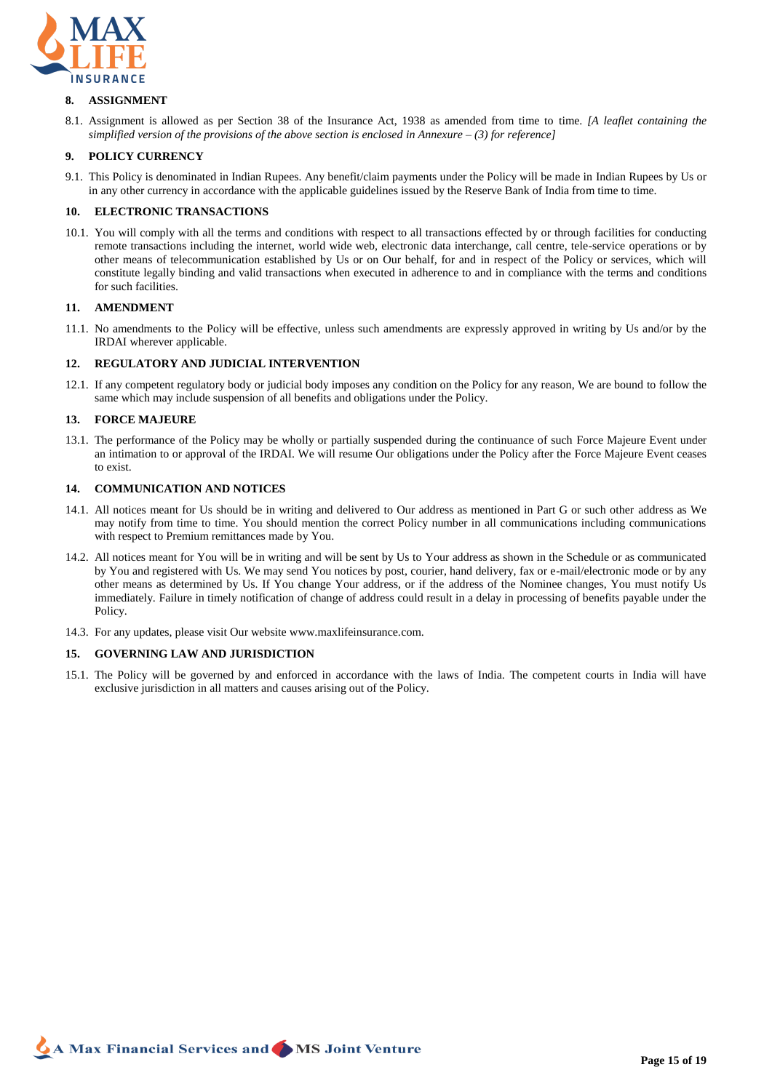

### **8. ASSIGNMENT**

8.1. Assignment is allowed as per Section 38 of the Insurance Act, 1938 as amended from time to time. *[A leaflet containing the simplified version of the provisions of the above section is enclosed in Annexure – (3) for reference]*

# **9. POLICY CURRENCY**

9.1. This Policy is denominated in Indian Rupees. Any benefit/claim payments under the Policy will be made in Indian Rupees by Us or in any other currency in accordance with the applicable guidelines issued by the Reserve Bank of India from time to time.

# **10. ELECTRONIC TRANSACTIONS**

10.1. You will comply with all the terms and conditions with respect to all transactions effected by or through facilities for conducting remote transactions including the internet, world wide web, electronic data interchange, call centre, tele-service operations or by other means of telecommunication established by Us or on Our behalf, for and in respect of the Policy or services, which will constitute legally binding and valid transactions when executed in adherence to and in compliance with the terms and conditions for such facilities.

### **11. AMENDMENT**

11.1. No amendments to the Policy will be effective, unless such amendments are expressly approved in writing by Us and/or by the IRDAI wherever applicable.

### **12. REGULATORY AND JUDICIAL INTERVENTION**

12.1. If any competent regulatory body or judicial body imposes any condition on the Policy for any reason, We are bound to follow the same which may include suspension of all benefits and obligations under the Policy.

### **13. FORCE MAJEURE**

13.1. The performance of the Policy may be wholly or partially suspended during the continuance of such Force Majeure Event under an intimation to or approval of the IRDAI. We will resume Our obligations under the Policy after the Force Majeure Event ceases to exist.

# **14. COMMUNICATION AND NOTICES**

- 14.1. All notices meant for Us should be in writing and delivered to Our address as mentioned in Part G or such other address as We may notify from time to time. You should mention the correct Policy number in all communications including communications with respect to Premium remittances made by You.
- 14.2. All notices meant for You will be in writing and will be sent by Us to Your address as shown in the Schedule or as communicated by You and registered with Us. We may send You notices by post, courier, hand delivery, fax or e-mail/electronic mode or by any other means as determined by Us. If You change Your address, or if the address of the Nominee changes, You must notify Us immediately. Failure in timely notification of change of address could result in a delay in processing of benefits payable under the Policy.
- 14.3. For any updates, please visit Our website www.maxlifeinsurance.com.

### **15. GOVERNING LAW AND JURISDICTION**

15.1. The Policy will be governed by and enforced in accordance with the laws of India. The competent courts in India will have exclusive jurisdiction in all matters and causes arising out of the Policy.

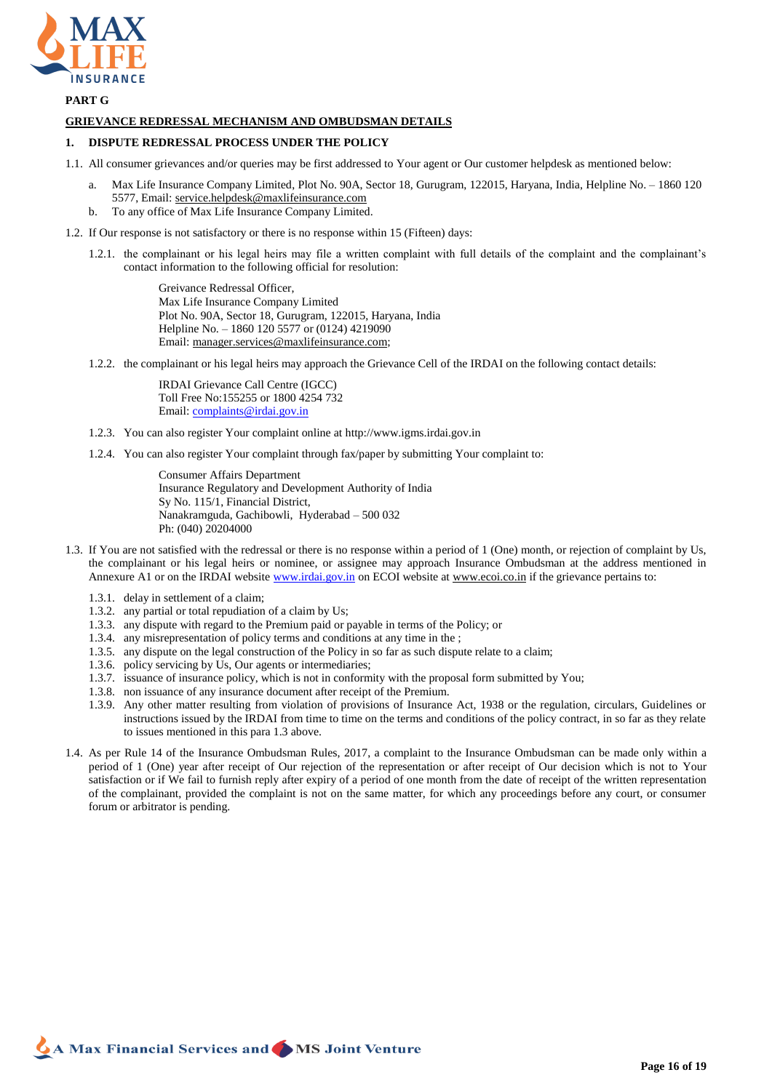

# **PART G**

### **GRIEVANCE REDRESSAL MECHANISM AND OMBUDSMAN DETAILS**

### **1. DISPUTE REDRESSAL PROCESS UNDER THE POLICY**

- 1.1. All consumer grievances and/or queries may be first addressed to Your agent or Our customer helpdesk as mentioned below:
	- a. Max Life Insurance Company Limited, Plot No. 90A, Sector 18, Gurugram, 122015, Haryana, India, Helpline No. 1860 120 5577, Email: [service.helpdesk@maxlifeinsurance.com](mailto:service.helpdesk@maxlifeinsurance.com)
	- b. To any office of Max Life Insurance Company Limited.
- 1.2. If Our response is not satisfactory or there is no response within 15 (Fifteen) days:
	- 1.2.1. the complainant or his legal heirs may file a written complaint with full details of the complaint and the complainant's contact information to the following official for resolution:

Greivance Redressal Officer, Max Life Insurance Company Limited Plot No. 90A, Sector 18, Gurugram, 122015, Haryana, India Helpline No. – 1860 120 5577 or (0124) 4219090 Email[: manager.services@maxlifeinsurance.com;](mailto:manager.services@maxlifeinsurance.com)

1.2.2. the complainant or his legal heirs may approach the Grievance Cell of the IRDAI on the following contact details:

IRDAI Grievance Call Centre (IGCC) Toll Free No:155255 or 1800 4254 732 Email[: complaints@irdai.gov.in](mailto:complaints@irdai.gov.in)

- 1.2.3. You can also register Your complaint online at http://www.igms.irdai.gov.in
- 1.2.4. You can also register Your complaint through fax/paper by submitting Your complaint to:

Consumer Affairs Department Insurance Regulatory and Development Authority of India Sy No. 115/1, Financial District, Nanakramguda, Gachibowli, Hyderabad – 500 032 Ph: (040) 20204000

- 1.3. If You are not satisfied with the redressal or there is no response within a period of 1 (One) month, or rejection of complaint by Us, the complainant or his legal heirs or nominee, or assignee may approach Insurance Ombudsman at the address mentioned in Annexure A1 or on the IRDAI websit[e www.irdai.gov.in](http://www.irdai.gov.in/) on ECOI website at www.ecoi.co.in if the grievance pertains to:
	- 1.3.1. delay in settlement of a claim;
	- 1.3.2. any partial or total repudiation of a claim by Us;
	- 1.3.3. any dispute with regard to the Premium paid or payable in terms of the Policy; or
	- 1.3.4. any misrepresentation of policy terms and conditions at any time in the ;
	- 1.3.5. any dispute on the legal construction of the Policy in so far as such dispute relate to a claim;
	- 1.3.6. policy servicing by Us, Our agents or intermediaries;
	- 1.3.7. issuance of insurance policy, which is not in conformity with the proposal form submitted by You;
	- 1.3.8. non issuance of any insurance document after receipt of the Premium.
	- 1.3.9. Any other matter resulting from violation of provisions of Insurance Act, 1938 or the regulation, circulars, Guidelines or instructions issued by the IRDAI from time to time on the terms and conditions of the policy contract, in so far as they relate to issues mentioned in this para 1.3 above.
- 1.4. As per Rule 14 of the Insurance Ombudsman Rules, 2017, a complaint to the Insurance Ombudsman can be made only within a period of 1 (One) year after receipt of Our rejection of the representation or after receipt of Our decision which is not to Your satisfaction or if We fail to furnish reply after expiry of a period of one month from the date of receipt of the written representation of the complainant, provided the complaint is not on the same matter, for which any proceedings before any court, or consumer forum or arbitrator is pending.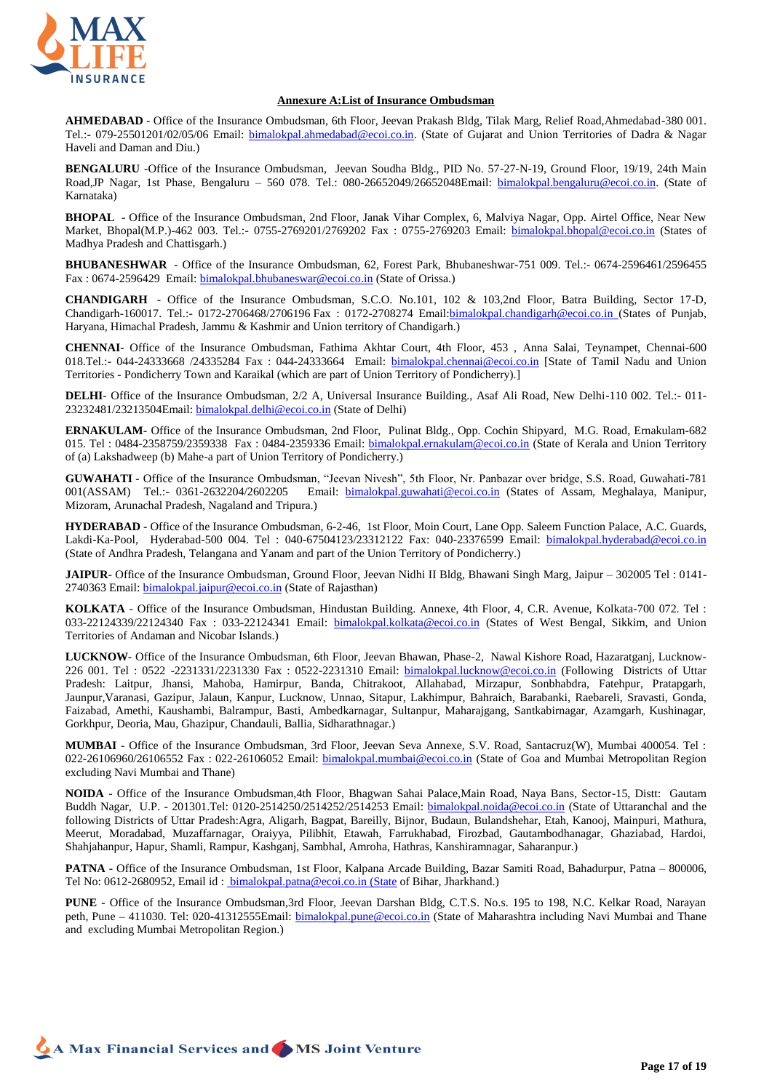

### **Annexure A:List of Insurance Ombudsman**

**AHMEDABAD** - Office of the Insurance Ombudsman, 6th Floor, Jeevan Prakash Bldg, Tilak Marg, Relief Road,Ahmedabad-380 001. Tel.:- 079-25501201/02/05/06 Email: **bimalokpal.ahmedabad@ecoi.co.in.** (State of Gujarat and Union Territories of Dadra & Nagar Haveli and Daman and Diu.)

**BENGALURU** -Office of the Insurance Ombudsman, Jeevan Soudha Bldg., PID No. 57-27-N-19, Ground Floor, 19/19, 24th Main Road,JP Nagar, 1st Phase, Bengaluru – 560 078. Tel.: 080-26652049/26652048Email: [bimalokpal.bengaluru@ecoi.co.in.](mailto:bimalokpal.bengaluru@gbic.co.in) (State of Karnataka)

**BHOPAL** - Office of the Insurance Ombudsman, 2nd Floor, Janak Vihar Complex, 6, Malviya Nagar, Opp. Airtel Office, Near New Market, Bhopal(M.P.)-462 003. Tel.:- 0755-2769201/2769202 Fax : 0755-2769203 Email: [bimalokpal.bhopal@ecoi.co.in](mailto:bimalokpal.bhopal@gbic.co.in) (States of Madhya Pradesh and Chattisgarh.)

**BHUBANESHWAR** - Office of the Insurance Ombudsman, 62, Forest Park, Bhubaneshwar-751 009. Tel.:- 0674-2596461/2596455 Fax : 0674-2596429 Email: [bimalokpal.bhubaneswar@ecoi.co.in](mailto:bimalokpal.bhubaneswar@gbic.co.in) (State of Orissa.)

**CHANDIGARH** - Office of the Insurance Ombudsman, S.C.O. No.101, 102 & 103,2nd Floor, Batra Building, Sector 17-D, Chandigarh-160017. Tel.:- 0172-2706468/2706196 Fax : 0172-2708274 Email:bimalokpal.chandigarh@ecoi.co.in (States of Punjab, Haryana, Himachal Pradesh, Jammu & Kashmir and Union territory of Chandigarh.)

**CHENNAI**- Office of the Insurance Ombudsman, Fathima Akhtar Court, 4th Floor, 453 , Anna Salai, Teynampet, Chennai-600 018.Tel.:- 044-24333668 /24335284 Fax : 044-24333664 Email: **bimalokpal.chennai@ecoi.co.in** [State of Tamil Nadu and Union Territories - Pondicherry Town and Karaikal (which are part of Union Territory of Pondicherry).]

**DELHI**- Office of the Insurance Ombudsman, 2/2 A, Universal Insurance Building., Asaf Ali Road, New Delhi-110 002. Tel.:- 011- 23232481/23213504Email: [bimalokpal.delhi@ecoi.co.in](mailto:bimalokpal.delhi@gbic.co.in) (State of Delhi)

**ERNAKULAM**- Office of the Insurance Ombudsman, 2nd Floor, Pulinat Bldg., Opp. Cochin Shipyard, M.G. Road, Ernakulam-682 015. Tel : 0484-2358759/2359338 Fax : 0484-2359336 Email: [bimalokpal.ernakulam@ecoi.co.in](mailto:bimalokpal.ernakulam@gbic.co.in) (State of Kerala and Union Territory of (a) Lakshadweep (b) Mahe-a part of Union Territory of Pondicherry.)

**GUWAHATI** - Office of the Insurance Ombudsman, "Jeevan Nivesh", 5th Floor, Nr. Panbazar over bridge, S.S. Road, Guwahati-781 001(ASSAM) Tel.:- 0361-2632204/2602205 Email: [bimalokpal.guwahati@ecoi.co.in](mailto:bimalokpal.guwahati@gbic.co.in) (States of Assam, Meghalaya, Manipur, Mizoram, Arunachal Pradesh, Nagaland and Tripura.)

**HYDERABAD** - Office of the Insurance Ombudsman, 6-2-46, 1st Floor, Moin Court, Lane Opp. Saleem Function Palace, A.C. Guards, Lakdi-Ka-Pool, Hyderabad-500 004. Tel: 040-67504123/23312122 Fax: 040-23376599 Email: [bimalokpal.hyderabad@ecoi.co.in](mailto:bimalokpal.hyderabad@gbic.co.in) (State of Andhra Pradesh, Telangana and Yanam and part of the Union Territory of Pondicherry.)

**JAIPUR**- Office of the Insurance Ombudsman, Ground Floor, Jeevan Nidhi II Bldg, Bhawani Singh Marg, Jaipur – 302005 Tel : 0141- 2740363 Email: **bimalokpal.jaipur@ecoi.co.in** (State of Rajasthan)

**KOLKATA** - Office of the Insurance Ombudsman, Hindustan Building. Annexe, 4th Floor, 4, C.R. Avenue, Kolkata-700 072. Tel : 033-22124339/22124340 Fax : 033-22124341 Email: **bimalokpal.kolkata@ecoi.co.in</u>** (States of West Bengal, Sikkim, and Union Territories of Andaman and Nicobar Islands.)

**LUCKNOW**- Office of the Insurance Ombudsman, 6th Floor, Jeevan Bhawan, Phase-2, Nawal Kishore Road, Hazaratganj, Lucknow-226 001. Tel : 0522 -2231331/2231330 Fax : 0522-2231310 Email: **bimalokpal.lucknow@ecoi.co.in** (Following Districts of Uttar Pradesh: Laitpur, Jhansi, Mahoba, Hamirpur, Banda, Chitrakoot, Allahabad, Mirzapur, Sonbhabdra, Fatehpur, Pratapgarh, Jaunpur,Varanasi, Gazipur, Jalaun, Kanpur, Lucknow, Unnao, Sitapur, Lakhimpur, Bahraich, Barabanki, Raebareli, Sravasti, Gonda, Faizabad, Amethi, Kaushambi, Balrampur, Basti, Ambedkarnagar, Sultanpur, Maharajgang, Santkabirnagar, Azamgarh, Kushinagar, Gorkhpur, Deoria, Mau, Ghazipur, Chandauli, Ballia, Sidharathnagar.)

**MUMBAI** - Office of the Insurance Ombudsman, 3rd Floor, Jeevan Seva Annexe, S.V. Road, Santacruz(W), Mumbai 400054. Tel : 022-26106960/26106552 Fax: 022-26106052 Email: [bimalokpal.mumbai@ecoi.co.in](mailto:bimalokpal.mumbai@gbic.co.in) (State of Goa and Mumbai Metropolitan Region excluding Navi Mumbai and Thane)

**NOIDA** - Office of the Insurance Ombudsman,4th Floor, Bhagwan Sahai Palace,Main Road, Naya Bans, Sector-15, Distt: Gautam Buddh Nagar, U.P. - 201301.Tel: 0120-2514250/2514252/2514253 Email: **bimalokpal.noida@ecoi.co.in** (State of Uttaranchal and the following Districts of Uttar Pradesh:Agra, Aligarh, Bagpat, Bareilly, Bijnor, Budaun, Bulandshehar, Etah, Kanooj, Mainpuri, Mathura, Meerut, Moradabad, Muzaffarnagar, Oraiyya, Pilibhit, Etawah, Farrukhabad, Firozbad, Gautambodhanagar, Ghaziabad, Hardoi, Shahjahanpur, Hapur, Shamli, Rampur, Kashganj, Sambhal, Amroha, Hathras, Kanshiramnagar, Saharanpur.)

**PATNA** - Office of the Insurance Ombudsman, 1st Floor, Kalpana Arcade Building, Bazar Samiti Road, Bahadurpur, Patna – 800006, Tel No: 0612-2680952, Email id : **bimalokpal.patna@ecoi.co.in (State of Bihar, Jharkhand.)** 

**PUNE** - Office of the Insurance Ombudsman,3rd Floor, Jeevan Darshan Bldg, C.T.S. No.s. 195 to 198, N.C. Kelkar Road, Narayan peth, Pune – 411030. Tel: 020-41312555Email: [bimalokpal.pune@ecoi.co.in](mailto:bimalokpal.pune@gbic.co.in) (State of Maharashtra including Navi Mumbai and Thane and excluding Mumbai Metropolitan Region.)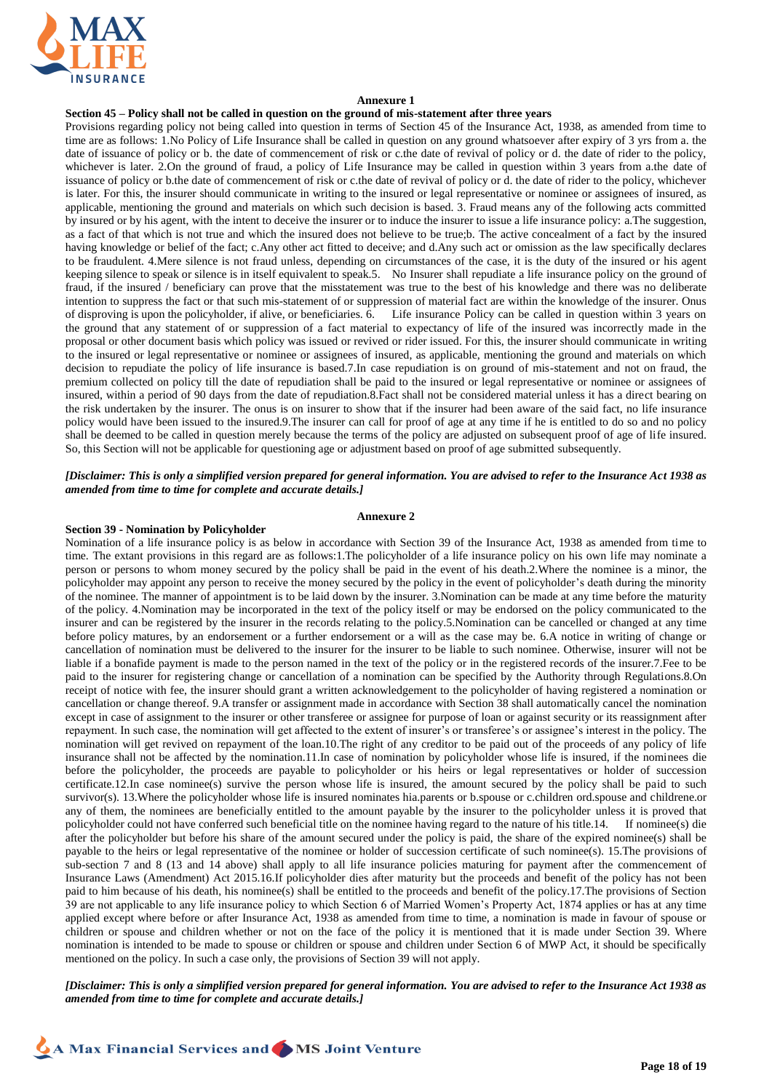

### **Annexure 1**

### **Section 45 – Policy shall not be called in question on the ground of mis-statement after three years**

Provisions regarding policy not being called into question in terms of Section 45 of the Insurance Act, 1938, as amended from time to time are as follows: 1.No Policy of Life Insurance shall be called in question on any ground whatsoever after expiry of 3 yrs from a. the date of issuance of policy or b. the date of commencement of risk or c.the date of revival of policy or d. the date of rider to the policy, whichever is later. 2.On the ground of fraud, a policy of Life Insurance may be called in question within 3 years from a.the date of issuance of policy or b.the date of commencement of risk or c.the date of revival of policy or d. the date of rider to the policy, whichever is later. For this, the insurer should communicate in writing to the insured or legal representative or nominee or assignees of insured, as applicable, mentioning the ground and materials on which such decision is based. 3. Fraud means any of the following acts committed by insured or by his agent, with the intent to deceive the insurer or to induce the insurer to issue a life insurance policy: a.The suggestion, as a fact of that which is not true and which the insured does not believe to be true;b. The active concealment of a fact by the insured having knowledge or belief of the fact; c.Any other act fitted to deceive; and d.Any such act or omission as the law specifically declares to be fraudulent. 4.Mere silence is not fraud unless, depending on circumstances of the case, it is the duty of the insured or his agent keeping silence to speak or silence is in itself equivalent to speak.5. No Insurer shall repudiate a life insurance policy on the ground of fraud, if the insured / beneficiary can prove that the misstatement was true to the best of his knowledge and there was no deliberate intention to suppress the fact or that such mis-statement of or suppression of material fact are within the knowledge of the insurer. Onus of disproving is upon the policyholder, if alive, or beneficiaries. 6. Life insurance Policy can be called in question within 3 years on the ground that any statement of or suppression of a fact material to expectancy of life of the insured was incorrectly made in the proposal or other document basis which policy was issued or revived or rider issued. For this, the insurer should communicate in writing to the insured or legal representative or nominee or assignees of insured, as applicable, mentioning the ground and materials on which decision to repudiate the policy of life insurance is based.7.In case repudiation is on ground of mis-statement and not on fraud, the premium collected on policy till the date of repudiation shall be paid to the insured or legal representative or nominee or assignees of insured, within a period of 90 days from the date of repudiation.8.Fact shall not be considered material unless it has a direct bearing on the risk undertaken by the insurer. The onus is on insurer to show that if the insurer had been aware of the said fact, no life insurance policy would have been issued to the insured.9.The insurer can call for proof of age at any time if he is entitled to do so and no policy shall be deemed to be called in question merely because the terms of the policy are adjusted on subsequent proof of age of life insured. So, this Section will not be applicable for questioning age or adjustment based on proof of age submitted subsequently.

### *[Disclaimer: This is only a simplified version prepared for general information. You are advised to refer to the Insurance Act 1938 as amended from time to time for complete and accurate details.]*

### **Annexure 2**

#### **Section 39 - Nomination by Policyholder**

Nomination of a life insurance policy is as below in accordance with Section 39 of the Insurance Act, 1938 as amended from time to time. The extant provisions in this regard are as follows:1.The policyholder of a life insurance policy on his own life may nominate a person or persons to whom money secured by the policy shall be paid in the event of his death.2.Where the nominee is a minor, the policyholder may appoint any person to receive the money secured by the policy in the event of policyholder's death during the minority of the nominee. The manner of appointment is to be laid down by the insurer. 3.Nomination can be made at any time before the maturity of the policy. 4.Nomination may be incorporated in the text of the policy itself or may be endorsed on the policy communicated to the insurer and can be registered by the insurer in the records relating to the policy.5.Nomination can be cancelled or changed at any time before policy matures, by an endorsement or a further endorsement or a will as the case may be. 6.A notice in writing of change or cancellation of nomination must be delivered to the insurer for the insurer to be liable to such nominee. Otherwise, insurer will not be liable if a bonafide payment is made to the person named in the text of the policy or in the registered records of the insurer.7.Fee to be paid to the insurer for registering change or cancellation of a nomination can be specified by the Authority through Regulations.8.On receipt of notice with fee, the insurer should grant a written acknowledgement to the policyholder of having registered a nomination or cancellation or change thereof. 9.A transfer or assignment made in accordance with Section 38 shall automatically cancel the nomination except in case of assignment to the insurer or other transferee or assignee for purpose of loan or against security or its reassignment after repayment. In such case, the nomination will get affected to the extent of insurer's or transferee's or assignee's interest in the policy. The nomination will get revived on repayment of the loan.10.The right of any creditor to be paid out of the proceeds of any policy of life insurance shall not be affected by the nomination.11.In case of nomination by policyholder whose life is insured, if the nominees die before the policyholder, the proceeds are payable to policyholder or his heirs or legal representatives or holder of succession certificate.12.In case nominee(s) survive the person whose life is insured, the amount secured by the policy shall be paid to such survivor(s). 13. Where the policyholder whose life is insured nominates hia.parents or b.spouse or c.children ord.spouse and childrene.or any of them, the nominees are beneficially entitled to the amount payable by the insurer to the policyholder unless it is proved that policyholder could not have conferred such beneficial title on the nominee having regard to the nature of his title.14. If nominee(s) die after the policyholder but before his share of the amount secured under the policy is paid, the share of the expired nominee(s) shall be payable to the heirs or legal representative of the nominee or holder of succession certificate of such nominee(s). 15.The provisions of sub-section 7 and 8 (13 and 14 above) shall apply to all life insurance policies maturing for payment after the commencement of Insurance Laws (Amendment) Act 2015.16.If policyholder dies after maturity but the proceeds and benefit of the policy has not been paid to him because of his death, his nominee(s) shall be entitled to the proceeds and benefit of the policy.17.The provisions of Section 39 are not applicable to any life insurance policy to which Section 6 of Married Women's Property Act, 1874 applies or has at any time applied except where before or after Insurance Act, 1938 as amended from time to time, a nomination is made in favour of spouse or children or spouse and children whether or not on the face of the policy it is mentioned that it is made under Section 39. Where nomination is intended to be made to spouse or children or spouse and children under Section 6 of MWP Act, it should be specifically mentioned on the policy. In such a case only, the provisions of Section 39 will not apply.

*[Disclaimer: This is only a simplified version prepared for general information. You are advised to refer to the Insurance Act 1938 as amended from time to time for complete and accurate details.]*